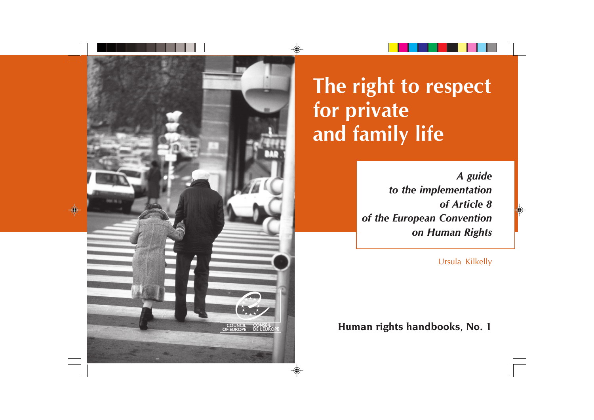

**The right to respect for private and family life**

> *A guide to the implementation of Article 8 of the European Convention on Human Rights*

> > Ursula Kilkelly

**REVINCIL CONSEIL CONSEIL CONSEIL CONSEIL CONSEIL DE L'EUROPE DE L'EUROPE DE L'EUROPE DE L'EUROPE DE L'AUDIT DE**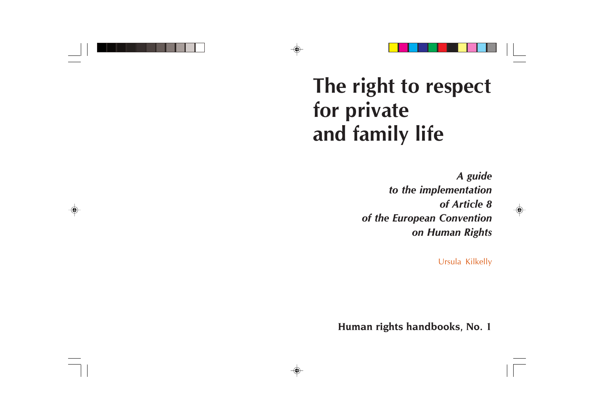# **The right to respect for private and family life**

*A guide to the implementation of Article 8 of the European Convention on Human Rights*

Ursula Kilkelly

**Human rights handbooks, No. 1**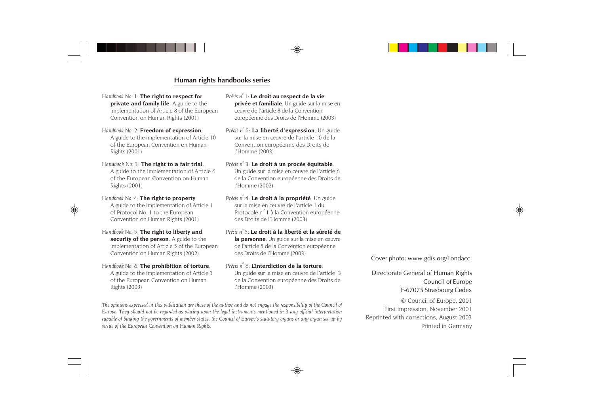### **Human rights handbooks series**

*Handbook No. 1*: **The right to respect for private and family life**. A guide to the implementation of Article 8 of the European Convention on Human Rights (2001)

*Handbook No. 2*: **Freedom of expression**. A guide to the implementation of Article 10 of the European Convention on Human Rights (2001)

*Handbook No. 3*: **The right to a fair trial**. A guide to the implementation of Article 6 of the European Convention on Human Rights (2001)

*Handbook No. 4*: **The right to property**. A guide to the implementation of Article 1 of Protocol No. 1 to the European Convention on Human Rights (2001)

*Handbook No. 5*: **The right to liberty and security of the person**. A guide to the implementation of Article 5 of the European Convention on Human Rights (2002)

*Handbook No. 6*: **The prohibition of torture**. A guide to the implementation of Article 3 of the European Convention on Human Rights (2003)

*Précis no 1*: **Le droit au respect de la vie privée et familiale**. Un guide sur la mise en œuvre de l'article 8 de la Convention européenne des Droits de l'Homme (2003)

*Précis no 2*: **La liberté d'expression**. Un guide sur la mise en œuvre de l'article 10 de la Convention européenne des Droits de l'Homme (2003)

*Précis no 3*: **Le droit à un procès équitable**. Un guide sur la mise en œuvre de l'article 6 de la Convention européenne des Droits de l'Homme (2002)

*Précis no 4*: **Le droit à la propriété**. Un guide sur la mise en œuvre de l'article 1 du Protocole n° 1 à la Convention européenne des Droits de l'Homme (2003)

*Précis no 5*: **Le droit à la liberté et la sûreté de la personne**. Un guide sur la mise en œuvre de l'article 5 de la Convention européenne des Droits de l'Homme (2003)

### *Précis no 6*: **L'interdiction de la torture**.

Un guide sur la mise en œuvre de l'article 3 de la Convention européenne des Droits de l'Homme (2003)

*The opinions expressed in this publication are those of the author and do not engage the responsibility of the Council of Europe. They should not be regarded as placing upon the legal instruments mentioned in it any official interpretation capable of binding the governments of member states, the Council of Europe's statutory organs or any organ set up by virtue of the European Convention on Human Rights.*

Cover photo: www.gdis.org/Fondacci

Directorate General of Human Rights Council of Europe F-67075 Strasbourg Cedex

© Council of Europe, 2001 First impression, November 2001 Reprinted with corrections, August 2003 Printed in Germany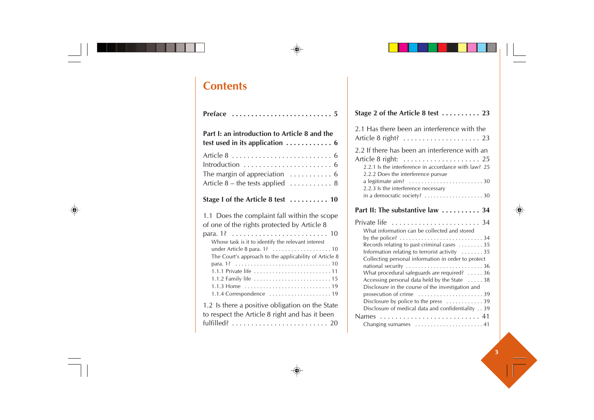# **Contents**

| Part I: an introduction to Article 8 and the<br>test used in its application $\ldots \ldots \ldots \ldots$ 6                                                                                                                                                                                           |
|--------------------------------------------------------------------------------------------------------------------------------------------------------------------------------------------------------------------------------------------------------------------------------------------------------|
| Introduction $\ldots \ldots \ldots \ldots \ldots \ldots \ldots$<br>The margin of appreciation $\dots\dots\dots\dots$ 6<br>Article $8$ – the tests applied $\ldots \ldots \ldots \ldots 8$                                                                                                              |
| Stage I of the Article 8 test $\dots\dots\dots$ 10                                                                                                                                                                                                                                                     |
| 1.1 Does the complaint fall within the scope<br>of one of the rights protected by Article 8<br>Whose task is it to identify the relevant interest<br>The Court's approach to the applicability of Article 8<br>1.1.1 Private life  11<br>1.1.4 Correspondence $\dots\dots\dots\dots\dots\dots\dots$ 19 |
| 1.2 Is there a positive obligation on the State<br>to respect the Article 8 right and has it been                                                                                                                                                                                                      |

| Stage 2 of the Article 8 test  23                                                                                                                                                                                                       |
|-----------------------------------------------------------------------------------------------------------------------------------------------------------------------------------------------------------------------------------------|
| 2.1 Has there been an interference with the                                                                                                                                                                                             |
| 2.2 If there has been an interference with an<br>Article 8 right:  25<br>2.2.1 Is the interference in accordance with law? 25<br>2.2.2 Does the interference pursue                                                                     |
| a legitimate aim? $\ldots \ldots \ldots \ldots \ldots \ldots \ldots$<br>2.2.3 Is the interference necessary                                                                                                                             |
| Part II: The substantive law $\ldots \ldots \ldots$ 34                                                                                                                                                                                  |
| What information can be collected and stored<br>Records relating to past criminal cases $\dots \dots 35$                                                                                                                                |
| Information relating to terrorist activity 35<br>Collecting personal information in order to protect<br>national security 36<br>What procedural safeguards are required? $\ldots$ . 36<br>Accessing personal data held by the State  38 |
| Disclosure in the course of the investigation and<br>prosecution of crime $\dots\dots\dots\dots\dots\dots39$<br>Disclosure by police to the press $\dots \dots \dots \dots$ 39<br>Disclosure of medical data and confidentiality 39     |
| Names  41<br>Changing surnames $\dots\dots\dots\dots\dots\dots\dots$                                                                                                                                                                    |
|                                                                                                                                                                                                                                         |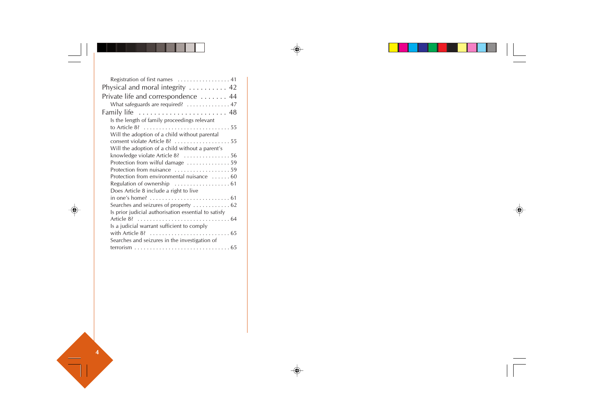| Registration of first names $\dots\dots\dots\dots\dots\dots$ |  |
|--------------------------------------------------------------|--|
| Physical and moral integrity  42                             |  |
| Private life and correspondence  44                          |  |
| What safeguards are required? 47                             |  |
|                                                              |  |
| Is the length of family proceedings relevant                 |  |
|                                                              |  |
| Will the adoption of a child without parental                |  |
| consent violate Article 8? 55                                |  |
| Will the adoption of a child without a parent's              |  |
| knowledge violate Article 8? 56                              |  |
| Protection from wilful damage 59                             |  |
| Protection from nuisance 59                                  |  |
| Protection from environmental nuisance  60                   |  |
| Regulation of ownership $\dots\dots\dots\dots\dots\dots$ 61  |  |
| Does Article 8 include a right to live                       |  |
|                                                              |  |
| Searches and seizures of property  62                        |  |
| Is prior judicial authorisation essential to satisfy         |  |
|                                                              |  |
| Is a judicial warrant sufficient to comply                   |  |
|                                                              |  |
| Searches and seizures in the investigation of                |  |
|                                                              |  |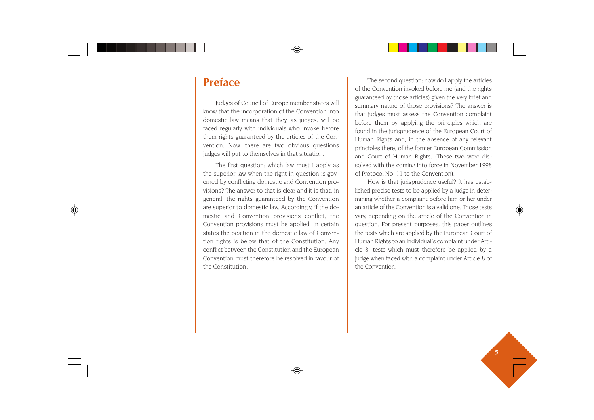# **Preface**

Judges of Council of Europe member states will know that the incorporation of the Convention into domestic law means that they, as judges, will be faced regularly with individuals who invoke before them rights guaranteed by the articles of the Convention. Now, there are two obvious questions judges will put to themselves in that situation.

The first question: which law must I apply as the superior law when the right in question is governed by conflicting domestic and Convention provisions? The answer to that is clear and it is that, in general, the rights guaranteed by the Convention are superior to domestic law. Accordingly, if the domestic and Convention provisions conflict, the Convention provisions must be applied. In certain states the position in the domestic law of Convention rights is below that of the Constitution. Any conflict between the Constitution and the European Convention must therefore be resolved in favour of the Constitution.

The second question: how do I apply the articles of the Convention invoked before me (and the rights guaranteed by those articles) given the very brief and summary nature of those provisions? The answer is that judges must assess the Convention complaint before them by applying the principles which are found in the jurisprudence of the European Court of Human Rights and, in the absence of any relevant principles there, of the former European Commission and Court of Human Rights. (These two were dissolved with the coming into force in November 1998 of Protocol No. 11 to the Convention).

How is that jurisprudence useful? It has established precise tests to be applied by a judge in determining whether a complaint before him or her under an article of the Convention is a valid one. Those tests vary, depending on the article of the Convention in question. For present purposes, this paper outlines the tests which are applied by the European Court of Human Rights to an individual's complaint under Article 8, tests which must therefore be applied by a judge when faced with a complaint under Article 8 of the Convention.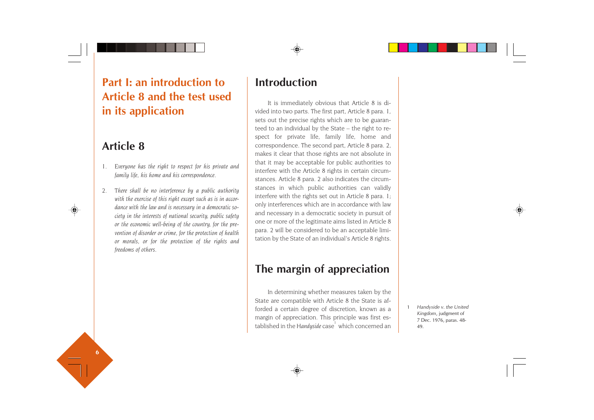# **Part I: an introduction to Article 8 and the test used in its application**

# **Article 8**

- *1. Everyone has the right to respect for his private and family life, his home and his correspondence.*
- *2. There shall be no interference by a public authority with the exercise of this right except such as is in accordance with the law and is necessary in a democratic society in the interests of national security, public safety or the economic well-being of the country, for the prevention of disorder or crime, for the protection of health or morals, or for the protection of the rights and freedoms of others.*

# **Introduction**

It is immediately obvious that Article 8 is divided into two parts. The first part, Article 8 para. 1, sets out the precise rights which are to be guaranteed to an individual by the State – the right to respect for private life, family life, home and correspondence. The second part, Article 8 para. 2, makes it clear that those rights are not absolute in that it may be acceptable for public authorities to interfere with the Article 8 rights in certain circumstances. Article 8 para. 2 also indicates the circumstances in which public authorities can validly interfere with the rights set out in Article 8 para. 1; only interferences which are in accordance with law and necessary in a democratic society in pursuit of one or more of the legitimate aims listed in Article 8 para. 2 will be considered to be an acceptable limitation by the State of an individual's Article 8 rights.

# **The margin of appreciation**

In determining whether measures taken by the State are compatible with Article 8 the State is afforded a certain degree of discretion, known as a margin of appreciation. This principle was first established in the *Handyside* case<sup>1</sup> which concerned an

1 *Handyside v. the United Kingdom*, judgment of 7 Dec. 1976, paras. 48- 49.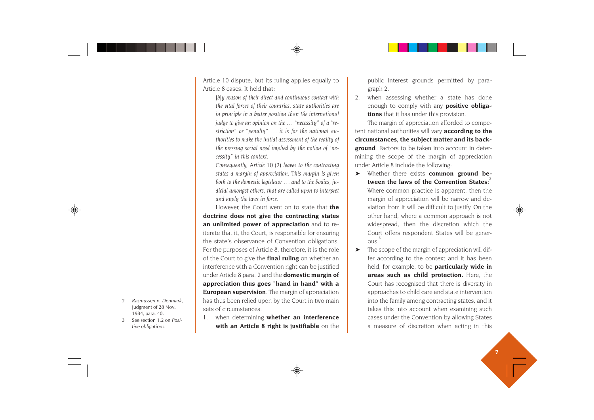Article 10 dispute, but its ruling applies equally to Article 8 cases. It held that:

*[b]y reason of their direct and continuous contact with the vital forces of their countries, state authorities are in principle in a better position than the international judge to give an opinion on the … "necessity" of a "restriction" or "penalty" … it is for the national authorities to make the initial assessment of the reality of the pressing social need implied by the notion of "necessity" in this context.*

*Consequently, Article 10 (2) leaves to the contracting states a margin of appreciation. This margin is given both to the domestic legislator … and to the bodies, judicial amongst others, that are called upon to interpret and apply the laws in force.*

However, the Court went on to state that **the doctrine does not give the contracting states an unlimited power of appreciation** and to reiterate that it, the Court, is responsible for ensuring the state's observance of Convention obligations. For the purposes of Article 8, therefore, it is the role of the Court to give the **final ruling** on whether an interference with a Convention right can be justified under Article 8 para. 2 and the **domestic margin of appreciation thus goes "hand in hand" with a European supervision**. The margin of appreciation has thus been relied upon by the Court in two main sets of circumstances:

1. when determining **whether an interference with an Article 8 right is justifiable** on the

public interest grounds permitted by paragraph 2.

2. when assessing whether a state has done enough to comply with any **positive obligations** that it has under this provision.

The margin of appreciation afforded to competent national authorities will vary **according to the circumstances, the subject matter and its background**. Factors to be taken into account in determining the scope of the margin of appreciation under Article 8 include the following:

- ➤ Whether there exists **common ground be**tween the laws of the Convention States<sup>.</sup> Where common practice is apparent, then the margin of appreciation will be narrow and deviation from it will be difficult to justify. On the other hand, where a common approach is not widespread, then the discretion which the Court offers respondent States will be gener- $\bigcap_{1}$   $\bigcap_{3}$
- $\blacktriangleright$  The scope of the margin of appreciation will differ according to the context and it has been held, for example, to be **particularly wide in areas such as child protection.** Here, the Court has recognised that there is diversity in approaches to child care and state intervention into the family among contracting states, and it takes this into account when examining such cases under the Convention by allowing States a measure of discretion when acting in this
- 2 *Rasmussen v. Denmark*, judgment of 28 Nov. 1984, para. 40.
- 3 See section 1.2 on *Positive obligations*.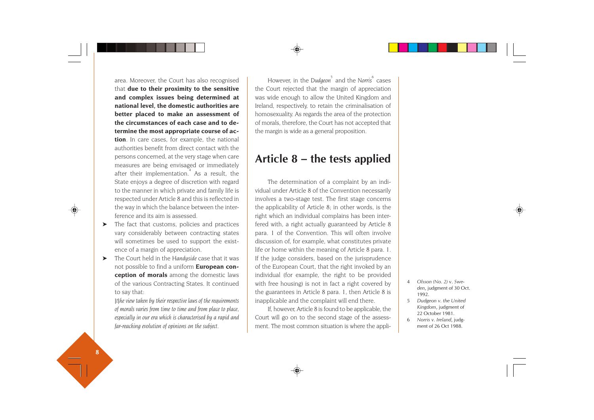area. Moreover, the Court has also recognised that **due to their proximity to the sensitive and complex issues being determined at national level, the domestic authorities are better placed to make an assessment of the circumstances of each case and to determine the most appropriate course of action**. In care cases, for example, the national authorities benefit from direct contact with the persons concerned, at the very stage when care measures are being envisaged or immediately after their implementation.<sup>4</sup> As a result, the State enjoys a degree of discretion with regard to the manner in which private and family life is respected under Article 8 and this is reflected in the way in which the balance between the interference and its aim is assessed.

- ➤ The fact that customs, policies and practices vary considerably between contracting states will sometimes be used to support the existence of a margin of appreciation.
- ➤ The Court held in the *Handyside* case that it was not possible to find a uniform **European conception of morals** among the domestic laws of the various Contracting States. It continued to say that:

*[t]he view taken by their respective laws of the requirements of morals varies from time to time and from place to place, especially in our era which is characterised by a rapid and far-reaching evolution of opinions on the subject.*

However, in the *Dudgeon*<sup>5</sup> and the *Norris*<sup>6</sup> cases the Court rejected that the margin of appreciation was wide enough to allow the United Kingdom and Ireland, respectively, to retain the criminalisation of homosexuality. As regards the area of the protection of morals, therefore, the Court has not accepted that the margin is wide as a general proposition.

# **Article 8 – the tests applied**

The determination of a complaint by an individual under Article 8 of the Convention necessarily involves a two-stage test. The first stage concerns the applicability of Article 8; in other words, is the right which an individual complains has been interfered with, a right actually guaranteed by Article 8 para. 1 of the Convention. This will often involve discussion of, for example, what constitutes private life or home within the meaning of Article 8 para. 1. If the judge considers, based on the jurisprudence of the European Court, that the right invoked by an individual (for example, the right to be provided with free housing) is not in fact a right covered by the guarantees in Article 8 para. 1, then Article 8 is inapplicable and the complaint will end there.

If, however, Article 8 is found to be applicable, the Court will go on to the second stage of the assessment. The most common situation is where the appli-

- 4 *Olsson (No. 2)* v. *Swe den*, judgment of 30 Oct. 1992.
- 5 *Dudgeon v. the United Kingdom*, judgment of 22 October 1981.
- 6 *Norris v. Ireland*, judg ment of 26 Oct 1988.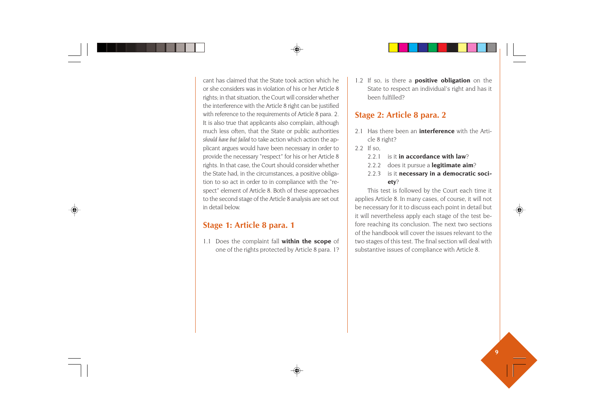cant has claimed that the State took action which he or she considers was in violation of his or her Article 8 rights; in that situation, the Court will consider whether the interference with the Article 8 right can be justified with reference to the requirements of Article 8 para. 2. It is also true that applicants also complain, although much less often, that the State or public authorities *should have but failed* to take action which action the applicant argues would have been necessary in order to provide the necessary "respect" for his or her Article 8 rights. In that case, the Court should consider whether the State had, in the circumstances, a positive obligation to so act in order to in compliance with the "respect" element of Article 8. Both of these approaches to the second stage of the Article 8 analysis are set out in detail below.

# **Stage 1: Article 8 para. 1**

1.1 Does the complaint fall **within the scope** of one of the rights protected by Article 8 para. 1? 1.2 If so, is there a **positive obligation** on the State to respect an individual's right and has it been fulfilled?

# **Stage 2: Article 8 para. 2**

- 2.1 Has there been an **interference** with the Article 8 right?
- 2.2 If so,
	- 2.2.1 is it **in accordance with law**?
	- 2.2.2 does it pursue a **legitimate aim**?
	- 2.2.3 is it **necessary in a democratic society**?

This test is followed by the Court each time it applies Article 8. In many cases, of course, it will not be necessary for it to discuss each point in detail but it will nevertheless apply each stage of the test before reaching its conclusion. The next two sections of the handbook will cover the issues relevant to the two stages of this test. The final section will deal with substantive issues of compliance with Article 8.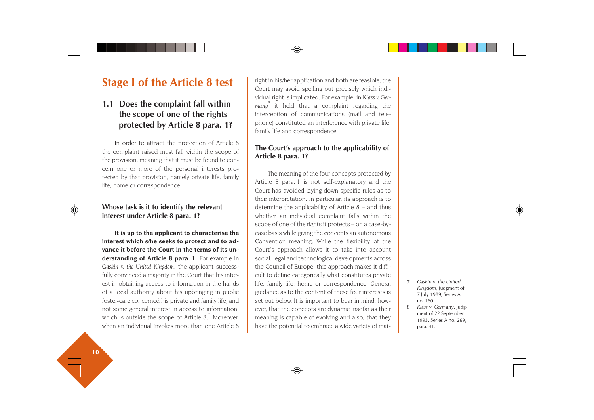# **Stage I of the Article 8 test**

# **1.1 Does the complaint fall within the scope of one of the rights protected by Article 8 para. 1?**

In order to attract the protection of Article 8 the complaint raised must fall within the scope of the provision, meaning that it must be found to concern one or more of the personal interests protected by that provision, namely private life, family life, home or correspondence.

# **Whose task is it to identify the relevant interest under Article 8 para. 1?**

**It is up to the applicant to characterise the interest which s/he seeks to protect and to advance it before the Court in the terms of its understanding of Article 8 para. 1.** For example in *Gaskin v. the United Kingdom*, the applicant successfully convinced a majority in the Court that his interest in obtaining access to information in the hands of a local authority about his upbringing in public foster-care concerned his private and family life, and not some general interest in access to information, which is outside the scope of Article  $8<sup>7</sup>$  Moreover, when an individual invokes more than one Article 8 right in his/her application and both are feasible, the Court may avoid spelling out precisely which individual right is implicated. For example, in *Klass v. Germany*8 it held that a complaint regarding the interception of communications (mail and telephone) constituted an interference with private life, family life and correspondence.

# **The Court's approach to the applicability of Article 8 para. 1?**

The meaning of the four concepts protected by Article 8 para. 1 is not self-explanatory and the Court has avoided laying down specific rules as to their interpretation. In particular, its approach is to determine the applicability of Article 8 – and thus whether an individual complaint falls within the scope of one of the rights it protects – on a case-bycase basis while giving the concepts an autonomous Convention meaning. While the flexibility of the Court's approach allows it to take into account social, legal and technological developments across the Council of Europe, this approach makes it difficult to define categorically what constitutes private life, family life, home or correspondence. General guidance as to the content of these four interests is set out below. It is important to bear in mind, however, that the concepts are dynamic insofar as their meaning is capable of evolving and also, that they have the potential to embrace a wide variety of mat-

- 7 *Gaskin v. the United Kingdom*, judgment of 7 July 1989, Series A no. 160.
- 8 *Klass v. Germany*, judgment of 22 September 1993, Series A no. 269, para. 41.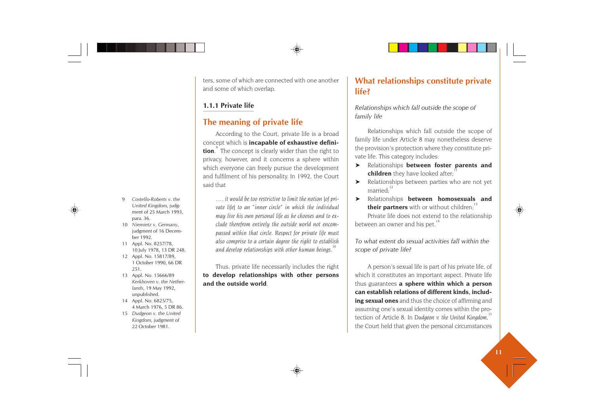ters, some of which are connected with one another and some of which overlap.

# **1.1.1 Private life**

# **The meaning of private life**

According to the Court, private life is a broad concept which is **incapable of exhaustive definition**. The concept is clearly wider than the right to privacy, however, and it concerns a sphere within which everyone can freely pursue the development and fulfilment of his personality. In 1992, the Court said that

*…. it would be too restrictive to limit the notion [of private life] to an "inner circle" in which the individual may live his own personal life as he chooses and to exclude therefrom entirely the outside world not encompassed within that circle. Respect for private life must also comprise to a certain degree the right to establish and develop relationships with other human beings.<sup>10</sup>*

Thus, private life necessarily includes the right **to develop relationships with other persons and the outside world**.

# **What relationships constitute private life?**

*Relationships which fall outside the scope of family life*

Relationships which fall outside the scope of family life under Article 8 may nonetheless deserve the provision's protection where they constitute private life. This category includes:

- ➤ Relationships **between foster parents and children** they have looked after;
- ➤ Relationships between parties who are not yet married.<sup>12</sup>
- ➤ Relationships **between homosexuals and their partners** with or without children:

Private life does not extend to the relationship between an owner and his pet.<sup>14</sup>

*To what extent do sexual activities fall within the scope of private life?*

A person's sexual life is part of his private life, of which it constitutes an important aspect. Private life thus guarantees **a sphere within which a person can establish relations of different kinds, including sexual ones** and thus the choice of affirming and assuming one's sexual identity comes within the protection of Article 8. In Dudgeon v. the United Kingdom,<sup>1</sup> the Court held that given the personal circumstances

- 9 *Costello-Roberts v. the United Kingdom,* judgment of 25 March 1993, para. 36.
- 10 *Niemietz v. Germany*, judgment of 16 December 1992.
- 11 Appl. No. 8257/78, 10 July 1978, 13 DR 248.
- 12 Appl. No. 15817/89, 1 October 1990, 66 DR 251.
- 13 Appl. No. 15666/89 *Kerkhoven v. the Netherlands*, 19 May 1992, unpublished.
- 14 Appl. No. 6825/75, 4 March 1976, 5 DR 86.
- 15 *Dudgeon v. the United Kingdom*, judgment of 22 October 1981.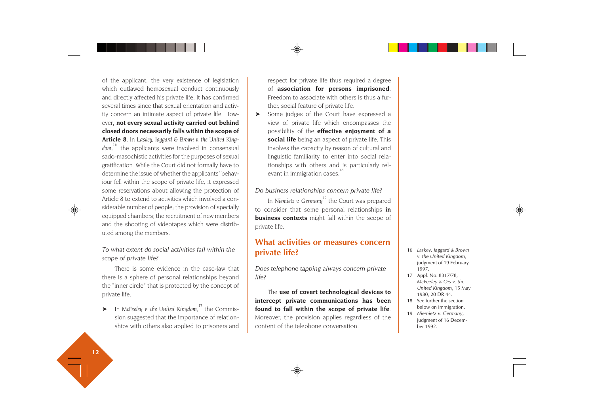of the applicant, the very existence of legislation which outlawed homosexual conduct continuously and directly affected his private life. It has confirmed several times since that sexual orientation and activity concern an intimate aspect of private life. However**, not every sexual activity carried out behind closed doors necessarily falls within the scope of Article 8**. In *Laskey, Jaggard & Brown v. the United King*dom,<sup>16</sup> the applicants were involved in consensual sado-masochistic activities for the purposes of sexual gratification. While the Court did not formally have to determine the issue of whether the applicants' behaviour fell within the scope of private life, it expressed some reservations about allowing the protection of Article 8 to extend to activities which involved a considerable number of people; the provision of specially equipped chambers; the recruitment of new members and the shooting of videotapes which were distributed among the members.

### *To what extent do social activities fall within the scope of private life?*

There is some evidence in the case-law that there is a sphere of personal relationships beyond the "inner circle" that is protected by the concept of private life.

➤ In *McFeeley v. the United Kingdom,<sup>17</sup>* the Commission suggested that the importance of relationships with others also applied to prisoners and respect for private life thus required a degree of **association for persons imprisoned**. Freedom to associate with others is thus a further, social feature of private life.

➤ Some judges of the Court have expressed a view of private life which encompasses the possibility of the **effective enjoyment of a social life** being an aspect of private life. This involves the capacity by reason of cultural and linguistic familiarity to enter into social relationships with others and is particularly relevant in immigration cases.<sup>1</sup>

#### *Do business relationships concern private life?*

In *Niemietz v. Germanu*<sup>19</sup> the Court was prepared to consider that some personal relationships **in business contexts** might fall within the scope of private life.

# **What activities or measures concern private life?**

*Does telephone tapping always concern private life?*

The **use of covert technological devices to intercept private communications has been found to fall within the scope of private life**. Moreover, the provision applies regardless of the content of the telephone conversation.

- 16 *Laskey, Jaggard & Brown v. the United Kingdom*, judgment of 19 February 1997.
- 17 Appl. No. 8317/78, *McFeeley & Ors v. the United Kingdom*, 15 May 1980, 20 DR 44.
- 18 See further the section below on immigration.
- 19 *Niemietz v. Germany*, judgment of 16 December 1992.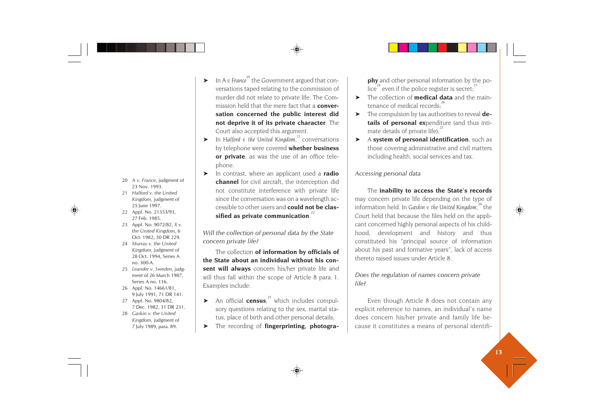- 
- 
- 
- 
- 
- 
- 
- 
- 
- ➤ In *A v. France<sup>20</sup>* the Government argued that conversations taped relating to the commission of murder did not relate to private life. The Commission held that the mere fact that a **conversation concerned the public interest did not deprive it of its private character**. The Court also accepted this argument.
- ► In *Halford v. the United Kingdom*,<sup>21</sup> conversations by telephone were covered **whether business or private**, as was the use of an office telephone.
- ➤ In contrast, where an applicant used a **radio channel** for civil aircraft, the interception did not constitute interference with private life since the conversation was on a wavelength accessible to other users and **could not be clas**sified as private communication.<sup>2</sup>

*Will the collection of personal data by the State concern private life?*

The collection **of information by officials of the State about an individual without his consent will always** concern his/her private life and will thus fall within the scope of Article 8 para. 1. Examples include:

- $\triangleright$  An official **census**,<sup>23</sup> which includes compulsory questions relating to the sex, marital status, place of birth and other personal details;
- ➤ The recording of **fingerprinting, photogra-**

**phy** and other personal information by the police<sup>24</sup> even if the police register is secret;<sup>25</sup>

- ➤ The collection of **medical data** and the main tenance of medical records;<sup>26</sup>
- ➤ The compulsion by tax authorities to reveal **de tails of personal ex**penditure (and thus inti mate details of private life): $27$
- ➤ <sup>A</sup>**system of personal identification**, such as those covering administrative and civil matters including health, social services and tax.

#### *Accessing personal data*

The **inability to access the State's records** may concern private life depending on the type of information held. In *Gaskin v. the United Kingdom*,<sup>28</sup> the Court held that because the files held on the appli cant concerned highly personal aspects of his child hood, development and history and thus constituted his "principal source of information about his past and formative years", lack of access thereto raised issues under Article 8. 20 Av. France, judgment of constitute interference with private life the constrained in the constrained in the constrained in the constrained and condensity of the United Kingdom, interference interference with private li

### *Does the regulation of names concern private life?*

Even though Article 8 does not contain any explicit reference to names, an individual's name does concern his/her private and family life be-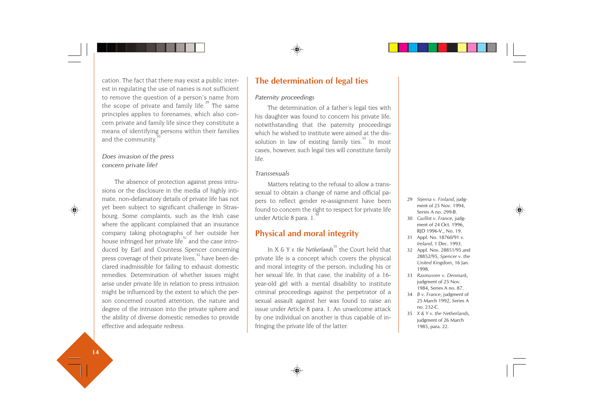cation. The fact that there may exist a public interest in regulating the use of names is not sufficient to remove the question of a person's name from the scope of private and family life. $2^{9}$  The same principles applies to forenames, which also concern private and family life since they constitute a means of identifying persons within their families and the community.<sup>3</sup>

### *Does invasion of the press concern private life?*

The absence of protection against press intrusions or the disclosure in the media of highly intimate, non-defamatory details of private life has not yet been subject to significant challenge in Strasbourg. Some complaints, such as the Irish case where the applicant complained that an insurance company taking photographs of her outside her house infringed her private life<sup>31</sup> and the case introduced by Earl and Countess Spencer concerning press coverage of their private lives.<sup>32</sup> have been declared inadmissible for failing to exhaust domestic remedies. Determination of whether issues might arise under private life in relation to press intrusion might be influenced by the extent to which the person concerned courted attention, the nature and degree of the intrusion into the private sphere and the ability of diverse domestic remedies to provide effective and adequate redress.

# **The determination of legal ties**

#### *Paternity proceedings*

The determination of a father's legal ties with his daughter was found to concern his private life, notwithstanding that the paternity proceedings which he wished to institute were aimed at the dissolution in law of existing family ties. $33$  In most cases, however, such legal ties will constitute family life.

#### *Transsexuals*

Matters relating to the refusal to allow a transsexual to obtain a change of name and official papers to reflect gender re-assignment have been found to concern the right to respect for private life under Article 8 para. 1.<sup>3</sup>

# **Physical and moral integrity**

In *X & Y v. the Netherlands*<sup>35</sup> the Court held that private life is a concept which covers the physical and moral integrity of the person, including his or her sexual life. In that case, the inability of a 16 year-old girl with a mental disability to institute criminal proceedings against the perpetrator of a sexual assault against her was found to raise an issue under Article 8 para. 1. An unwelcome attack by one individual on another is thus capable of infringing the private life of the latter.

- 29 *Stjerna v. Finland*, judgment of 25 Nov. 1994, Series A no. 299-B.
- 30 *Guillot v. France*, judgment of 24 Oct. 1996, RJD 1996-V., No. 19.
- 31 Appl. No. 18760/91 *v. Ireland*, 1 Dec. 1993.
- 32 Appl. Nos. 28851/95 and 28852/95, *Spencer v. the United Kingdom*, 16 Jan. 1998.
- 33 *Rasmussen v. Denmark*, judgment of 25 Nov. 1984, Series A no. 87.
- 34 *B v. France*, judgment of 25 March 1992, Series A no. 232-C.
- 35 *X & Y v. the Netherlands,* judgment of 26 March 1985, para. 22.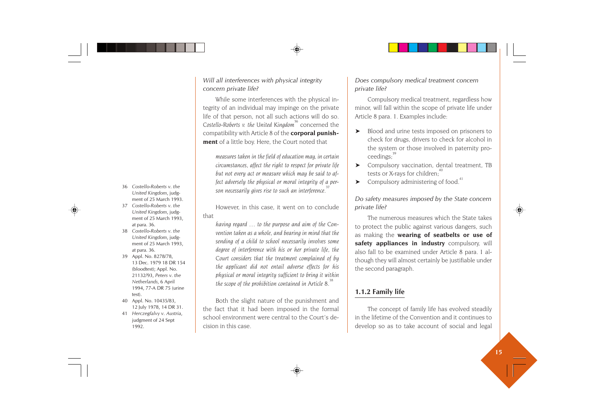*Will all interferences with physical integrity concern private life?*

While some interferences with the physical integrity of an individual may impinge on the private life of that person, not all such actions will do so. *Costello-Roberts v. the United Kingdom<sup>36</sup>* concerned the compatibility with Article 8 of the **corporal punishment** of a little boy. Here, the Court noted that

*measures taken in the field of education may, in certain circumstances, affect the right to respect for private life but not every act or measure which may be said to affect adversely the physical or moral integrity of a person necessarily gives rise to such an interference.<sup>37</sup>*

However, in this case, it went on to conclude that

*having regard … to the purpose and aim of the Convention taken as a whole, and bearing in mind that the sending of a child to school necessarily involves some degree of interference with his or her private life, the Court considers that the treatment complained of by the applicant did not entail adverse effects for his physical or moral integrity sufficient to bring it within the scope of the prohibition contained in Article 8.<sup>38</sup>*

Both the slight nature of the punishment and the fact that it had been imposed in the formal school environment were central to the Court's decision in this case.

*Does compulsory medical treatment concern private life?*

Compulsory medical treatment, regardless how minor, will fall within the scope of private life under Article 8 para. 1. Examples include:

- ➤ Blood and urine tests imposed on prisoners to check for drugs, drivers to check for alcohol in the system or those involved in paternity proceedings:
- ➤ Compulsory vaccination, dental treatment, TB tests or X-rays for children:<sup>40</sup>
- $\blacktriangleright$  Compulsory administering of food.<sup>4</sup>

*Do safety measures imposed by the State concern private life?*

The numerous measures which the State takes to protect the public against various dangers, such as making the **wearing of seatbelts or use of safety appliances in industry** compulsory, will also fall to be examined under Article 8 para. 1 although they will almost certainly be justifiable under the second paragraph.

# **1.1.2 Family life**

The concept of family life has evolved steadily in the lifetime of the Convention and it continues to develop so as to take account of social and legal

- 36 *Costello-Roberts v. the United Kingdom*, judgment of 25 March 1993.
- 37 *Costello-Roberts v. the United Kingdom*, judgment of 25 March 1993, at para. 36.
- 38 *Costello-Roberts v. the United Kingdom*, judgment of 25 March 1993, at para. 36.
- 39 Appl. No. 8278/78, 13 Dec. 1979 18 DR 154 (bloodtest); Appl. No. 21132/93, *Peters v. the Netherlands*, 6 April 1994, 77-A DR 75 (urine test).
- 40 Appl. No. 10435/83, 12 July 1978, 14 DR 31.
- 41 *Herczegfalvy v. Austria*, judgment of 24 Sept 1992.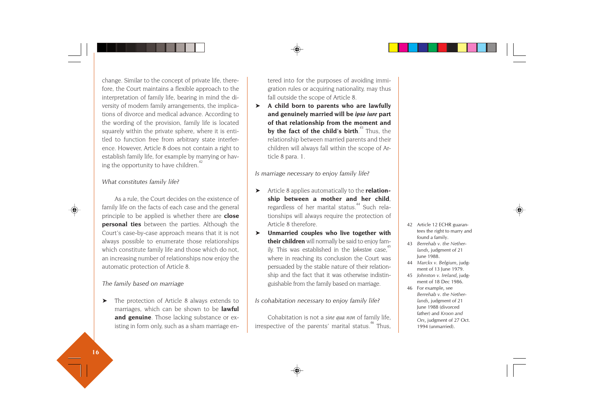change. Similar to the concept of private life, therefore, the Court maintains a flexible approach to the interpretation of family life, bearing in mind the diversity of modern family arrangements, the implications of divorce and medical advance. According to the wording of the provision, family life is located squarely within the private sphere, where it is entitled to function free from arbitrary state interference. However, Article 8 does not contain a right to establish family life, for example by marrying or having the opportunity to have children.<sup>4</sup>

#### *What constitutes family life?*

As a rule, the Court decides on the existence of family life on the facts of each case and the general principle to be applied is whether there are **close personal ties** between the parties. Although the Court's case-by-case approach means that it is not always possible to enumerate those relationships which constitute family life and those which do not, an increasing number of relationships now enjoy the automatic protection of Article 8.

#### *The family based on marriage*

➤ The protection of Article 8 always extends to marriages, which can be shown to be **lawful and genuine**. Those lacking substance or existing in form only, such as a sham marriage entered into for the purposes of avoiding immi gration rules or acquiring nationality, may thus fall outside the scope of Article 8.

➤ **A child born to parents who are lawfully and genuinely married will be** *ipso iure* **part of that relationship from the moment and by the fact of the child's birth.**<sup>43</sup> Thus, the relationship between married parents and their children will always fall within the scope of Article 8 para. 1.

*Is marriage necessary to enjoy family life?*

- ➤ Article 8 applies automatically to the **relationship between a mother and her child**, regardless of her marital status.<sup>44</sup> Such relationships will always require the protection of Article 8 therefore.
- ➤ **Unmarried couples who live together with their children** will normally be said to enjoy family. This was established in the *Johnston* case,<sup>4</sup> where in reaching its conclusion the Court was persuaded by the stable nature of their relationship and the fact that it was otherwise indistinguishable from the family based on marriage.

#### *Is cohabitation necessary to enjoy family life?*

Cohabitation is not a *sine qua non* of family life, irrespective of the parents' marital status.<sup>46</sup> Thus,

- 42 Article 12 ECHR guarantees the right to marry and found a family.
- 43 *Berrehab v. the Netherlands*, judgment of 21 June 1988.
- <sup>44</sup> *Marckx v. Belgium*, judgment of 13 June 1979.
- 45 *Johnston v. Ireland*, judgment of 18 Dec 1986.
- 46 For example, see *Berrehab v. the Netherlands*, judgment of 21 June 1988 (divorced father) and *Kroon and Ors*, judgment of 27 Oct. 1994 (unmarried).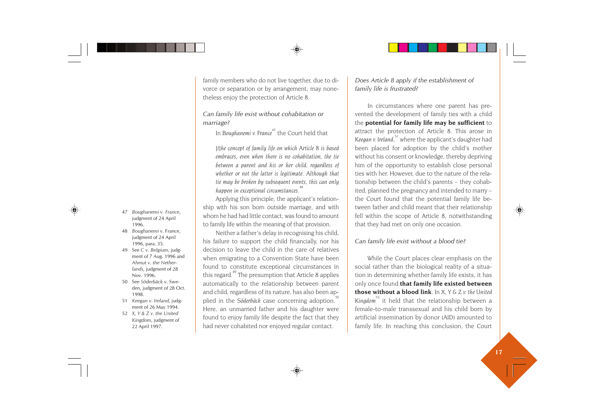- 47 *Boughanemi v. France*, judgment of 24 April 1996.
- 48 *Boughanemi* v. France, judgment of 24 April 1996, para. 35.
- 49 See *C v. Belgium*, judgment of 7 Aug. 1996 and *Ahmut v. the Netherlands*, judgment of 28 Nov. 1996.
- 50 See *Söderbäck* v. Sweden, judgment of 28 Oct. 1998.
- 51 *Keegan v. Ireland*, judgment of 26 May 1994.
- 52 *X, Y & Z v. the United Kingdom*, judgment of 22 April 1997.

family members who do not live together, due to divorce or separation or by arrangement, may nonetheless enjoy the protection of Article 8.

*Can family life exist without cohabitation or marriage?*

In *Boughanemi v. France<sup>47</sup>* the Court held that

*[t]he concept of family life on which Article 8 is based embraces, even when there is no cohabitation, the tie between a parent and his or her child, regardless of whether or not the latter is legitimate. Although that tie may be broken by subsequent events, this can only happen in exceptional circumstances.<sup>48</sup>*

Applying this principle, the applicant's relationship with his son born outside marriage, and with whom he had had little contact, was found to amount to family life within the meaning of that provision.

Neither a father's delay in recognising his child, his failure to support the child financially, nor his decision to leave the child in the care of relatives when emigrating to a Convention State have been found to constitute exceptional circumstances in this regard.<sup>49</sup> The presumption that Article 8 applies automatically to the relationship between parent and child, regardless of its nature, has also been applied in the *Söderbäck* case concerning adoption.<sup>5</sup> Here, an unmarried father and his daughter were found to enjoy family life despite the fact that they had never cohabited nor enjoyed regular contact.

*Does Article 8 apply if the establishment of family life is frustrated?*

In circumstances where one parent has prevented the development of family ties with a child the **potential for family life may be sufficient** to attract the protection of Article 8. This arose in *Keegan v. Ireland*,<sup>51</sup> where the applicant's daughter had been placed for adoption by the child's mother without his consent or knowledge, thereby depriving him of the opportunity to establish close personal ties with her. However, due to the nature of the relationship between the child's parents – they cohabited, planned the pregnancy and intended to marry – the Court found that the potential family life between father and child meant that their relationship fell within the scope of Article 8, notwithstanding that they had met on only one occasion.

#### *Can family life exist without a blood tie?*

While the Court places clear emphasis on the social rather than the biological reality of a situation in determining whether family life exists, it has only once found **that family life existed between those without a blood link**. In *X, Y & Z v. the United* Kingdom<sup>52</sup> it held that the relationship between a female-to-male transsexual and his child born by artificial insemination by donor (AID) amounted to family life. In reaching this conclusion, the Court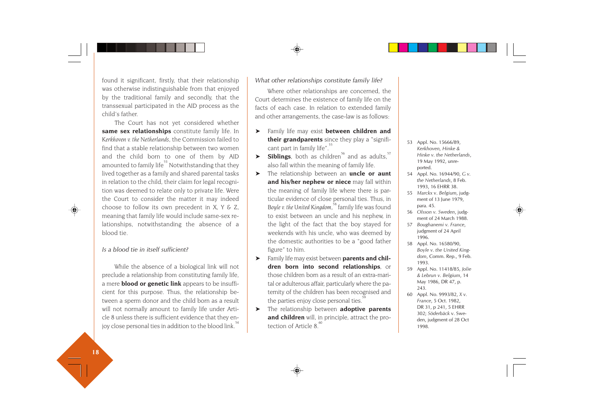found it significant, firstly, that their relationship was otherwise indistinguishable from that enjoyed by the traditional family and secondly, that the transsexual participated in the AID process as the child's father.

The Court has not yet considered whether **same sex relationships** constitute family life. In *Kerkhoven v. the Netherlands*, the Commission failed to find that a stable relationship between two women and the child born to one of them by AID amounted to family life<sup>53</sup> Notwithstanding that they lived together as a family and shared parental tasks in relation to the child, their claim for legal recognition was deemed to relate only to private life. Were the Court to consider the matter it may indeed choose to follow its own precedent in *X, Y & Z,* meaning that family life would include same-sex relationships, notwithstanding the absence of a blood tie.

#### *Is a blood tie in itself sufficient?*

While the absence of a biological link will not preclude a relationship from constituting family life, a mere **blood or genetic link** appears to be insufficient for this purpose. Thus, the relationship between a sperm donor and the child born as a result will not normally amount to family life under Article 8 unless there is sufficient evidence that they enjoy close personal ties in addition to the blood link.<sup>5</sup>

#### *What other relationships constitute family life?*

Where other relationships are concerned, the Court determines the existence of family life on the facts of each case. In relation to extended family and other arrangements, the case-law is as follows:

- ➤ Family life may exist **between children and their grandparents** since they play a "significant part in family life".<sup>55</sup>
- $\triangleright$  **Siblings**, both as children<sup>56</sup> and as adults,<sup>57</sup> also fall within the meaning of family life.
- ➤ The relationship between an **uncle or aunt and his/her nephew or niece** may fall within the meaning of family life where there is particular evidence of close personal ties. Thus, in Boyle v. the United Kingdom,<sup>38</sup> family life was found to exist between an uncle and his nephew, in the light of the fact that the boy stayed for weekends with his uncle, who was deemed by the domestic authorities to be a "good father figure" to him.
- ➤ Family life may exist between **parents and children born into second relationships**, or those children born as a result of an extra-marital or adulterous affair, particularly where the paternity of the children has been recognised and the parties enjoy close personal ties.
- ➤ The relationship between **adoptive parents and children** will, in principle, attract the protection of Article  $8<sup>60</sup>$
- 53 Appl. No. 15666/89, *Kerkhoven, Hinke & Hinke v. the Netherlands*, 19 May 1992, unreported.
- 54 Appl. No. 16944/90, *G v. the Netherlands*, 8 Feb. 1993, 16 EHRR 38.
- 55 *Marckx* v. *Belgium*, judgment of 13 June 1979, para. 45.
- 56 *Olsson v. Sweden*, judgment of 24 March 1988.
- 57 *Boughanemi v. France*, judgment of 24 April 1996.
- 58 Appl. No. 16580/90, *Boyle v. the United Kingdom*, Comm. Rep., 9 Feb. 1993.
- 59 Appl. No. 11418/85, *Jolie & Lebrun v. Belgium*, 14 May 1986, DR 47, p. 243.
- 60 Appl. No. 9993/82, *X v. France*, 5 Oct. 1982, DR 31, p 241, 5 EHRR 302; *Söderbäck* v. Sweden, judgment of 28 Oct 1998.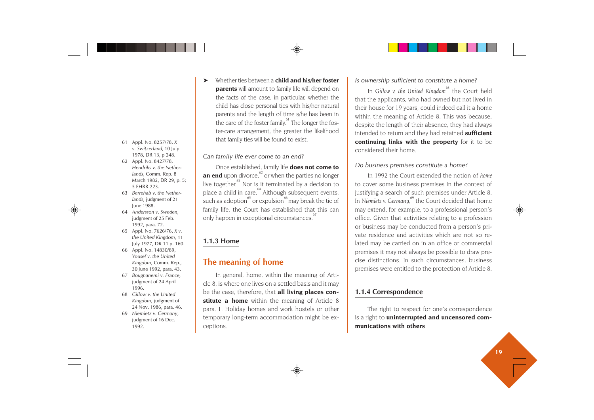- 61 Appl. No. 8257/78, *X v. Switzerland*, 10 July 1978, DR 13, p 248.
- 62 Appl. No. 8427/78, *Hendriks v. the Netherlands*, Comm. Rep. 8 March 1982, DR 29, p. 5; 5 EHRR 223.
- 63 *Berrehab v. the Netherlands*, judgment of 21 June 1988.
- 64 *Andersson v. Sweden*, judgment of 25 Feb. 1992, para. 72.
- 65 Appl. No. 7626/76, *X v. the United Kingdom*, 11 July 1977, DR 11 p. 160.
- 66 Appl. No. 14830/89, *Yousef v. the United Kingdom*, Comm. Rep., 30 June 1992, para. 43.
- 67 *Boughanemi v. France*, judgment of 24 April 1996.
- 68 *Gillow v. the United Kingdom*, judgment of 24 Nov. 1986, para. 46.
- 69 *Niemietz v. Germany*, judgment of 16 Dec. 1992.

➤ Whether ties between a **child and his/her foster parents** will amount to family life will depend on the facts of the case, in particular, whether the child has close personal ties with his/her natural parents and the length of time s/he has been in the care of the foster family.<sup>61</sup> The longer the foster-care arrangement, the greater the likelihood that family ties will be found to exist.

#### *Can family life ever come to an end?*

Once established, family life **does not come to an end** upon divorce,<sup>62</sup> or when the parties no longer live together. $63$  Nor is it terminated by a decision to place a child in care.<sup>64</sup> Although subsequent events, such as adoption<sup>65</sup> or expulsion<sup>66</sup> may break the tie of family life, the Court has established that this can only happen in exceptional circumstances.<sup>6</sup>

# **1.1.3 Home**

# **The meaning of home**

In general, home, within the meaning of Article 8, is where one lives on a settled basis and it may be the case, therefore, that **all living places constitute a home** within the meaning of Article 8 para. 1. Holiday homes and work hostels or other temporary long-term accommodation might be exceptions.

### *Is ownership sufficient to constitute a home?*

In *Gillow v. the United Kingdom*<sup>68</sup> the Court held that the applicants, who had owned but not lived in their house for 19 years, could indeed call it a home within the meaning of Article 8. This was because, despite the length of their absence, they had always intended to return and they had retained **sufficient continuing links with the property** for it to be considered their home.

#### *Do business premises constitute a home?*

In 1992 the Court extended the notion of *home* to cover some business premises in the context of justifying a search of such premises under Article 8. In *Niemietz v. Germany,<sup>69</sup>* the Court decided that home may extend, for example, to a professional person's office. Given that activities relating to a profession or business may be conducted from a person's private residence and activities which are not so related may be carried on in an office or commercial premises it may not always be possible to draw precise distinctions. In such circumstances, business premises were entitled to the protection of Article 8.

### **1.1.4 Correspondence**

The right to respect for one's correspondence is a right to **uninterrupted and uncensored communications with others**.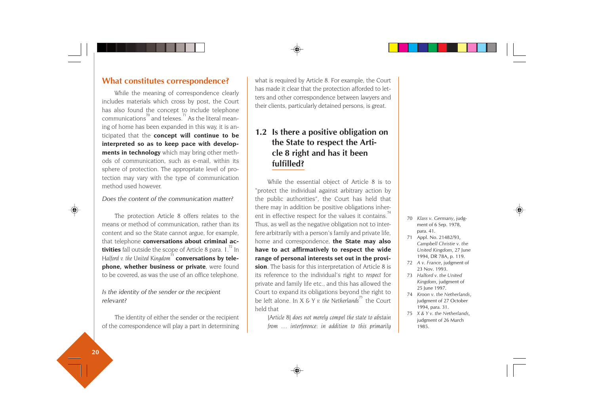# **What constitutes correspondence?**

While the meaning of correspondence clearly includes materials which cross by post, the Court has also found the concept to include telephone communications $^{\rm 70}$  and telexes. $^{\rm 71}$  As the literal meaning of home has been expanded in this way, it is anticipated that the **concept will continue to be interpreted so as to keep pace with developments in technology** which may bring other methods of communication, such as e-mail, within its sphere of protection. The appropriate level of protection may vary with the type of communication method used however.

#### *Does the content of the communication matter?*

The protection Article 8 offers relates to the means or method of communication, rather than its content and so the State cannot argue, for example, that telephone **conversations about criminal activities** fall outside the scope of Article 8 para. 1.<sup>72</sup> In *Halford v. the United Kingdom<sup>73</sup>* **conversations by telephone, whether business or private**, were found to be covered, as was the use of an office telephone.

*Is the identity of the sender or the recipient relevant?*

The identity of either the sender or the recipient of the correspondence will play a part in determining what is required by Article 8. For example, the Court has made it clear that the protection afforded to letters and other correspondence between lawyers and their clients, particularly detained persons, is great.

# **1.2 Is there a positive obligation on the State to respect the Article 8 right and has it been fulfilled?**

While the essential object of Article 8 is to "protect the individual against arbitrary action by the public authorities", the Court has held that there may in addition be positive obligations inherent in effective respect for the values it contains.<sup>7</sup> Thus, as well as the negative obligation not to interfere arbitrarily with a person's family and private life, home and correspondence, **the State may also have to act affirmatively to respect the wide range of personal interests set out in the provision**. The basis for this interpretation of Article 8 is its reference to the individual's right to *respect* for private and family life etc., and this has allowed the Court to expand its obligations beyond the right to be left alone. In *X & Y v. the Netherlands*<sup>75</sup> the Court held that

*[Article 8] does not merely compel the state to abstain from … interference: in addition to this primarily*

- 70 *Klass v. Germany*, judgment of 6 Sep. 1978, para. 41.
- 71 Appl. No. 21482/93, *Campbell Christie v. the United Kingdom*, 27 June 1994, DR 78A, p. 119.
- 72 *A v. France*, judgment of 23 Nov. 1993.
- 73 *Halford v. the United Kingdom*, judgment of 25 June 1997.
- 74 *Kroon v. the Netherlands*, judgment of 27 October 1994, para. 31.
- 75 *X & Y v. the Netherlands*, judgment of 26 March 1985.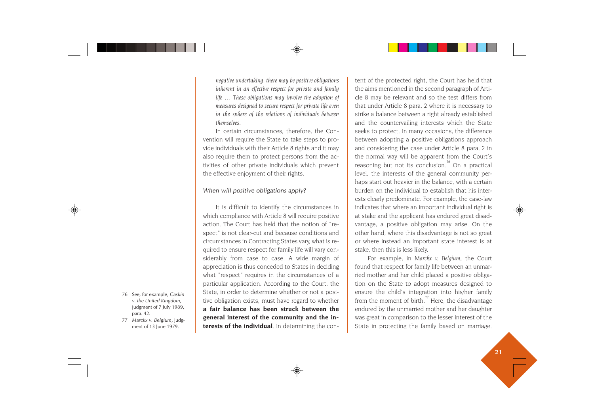*negative undertaking, there may be positive obligations inherent in an effective respect for private and family life … These obligations may involve the adoption of measures designed to secure respect for private life even in the sphere of the relations of individuals between themselves.*

In certain circumstances, therefore, the Convention will require the State to take steps to provide individuals with their Article 8 rights and it may also require them to protect persons from the activities of other private individuals which prevent the effective enjoyment of their rights.

#### *When will positive obligations apply?*

It is difficult to identify the circumstances in which compliance with Article 8 will require positive action. The Court has held that the notion of "respect" is not clear-cut and because conditions and circumstances in Contracting States vary, what is required to ensure respect for family life will vary considerably from case to case. A wide margin of appreciation is thus conceded to States in deciding what "respect" requires in the circumstances of a particular application. According to the Court, the State, in order to determine whether or not a positive obligation exists, must have regard to whether **a fair balance has been struck between the general interest of the community and the interests of the individual**. In determining the con-State, for example, *Gaskin*<br> *v. the United Kingdom*,<br>
para. 42.<br> *para. A2.*<br> *para. A2.*<br> *para. A2.*<br> *para. A2.*<br> *para. A2.*<br> *para. A2.*<br> *para. A2.*<br> *para. A2.*<br> *para. A2.*<br> *para. A2.*<br> *para. A2.*<br> *para. A2.*<br>

tent of the protected right, the Court has held that the aims mentioned in the second paragraph of Arti cle 8 may be relevant and so the test differs from that under Article 8 para. 2 where it is necessary to strike a balance between a right already established and the countervailing interests which the State seeks to protect. In many occasions, the difference between adopting a positive obligations approach and considering the case under Article 8 para. 2 in the normal way will be apparent from the Court's reasoning but not its conclusion.<sup>76</sup> On a practical level, the interests of the general community per haps start out heavier in the balance, with a certain burden on the individual to establish that his inter ests clearly predominate. For example, the case-law indicates that where an important individual right is at stake and the applicant has endured great disad vantage, a positive obligation may arise. On the other hand, where this disadvantage is not so great or where instead an important state interest is at stake, then this is less likely.

For example, in *Marckx v. Belgium*, the Court found that respect for family life between an unmar ried mother and her child placed a positive obliga tion on the State to adopt measures designed to ensure the child's integration into his/her family from the moment of birth.<sup>77</sup> Here, the disadvantage endured by the unmarried mother and her daughter was great in comparison to the lesser interest of the

- 
-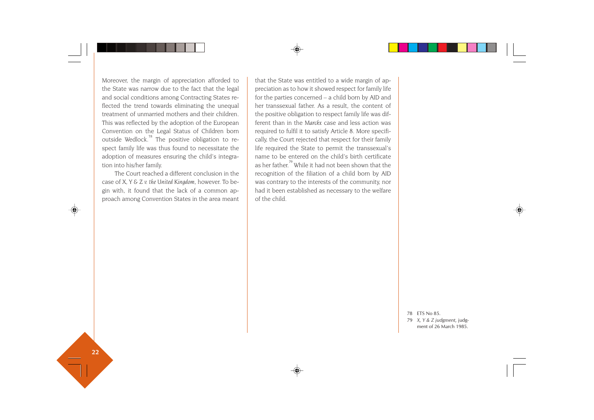Moreover, the margin of appreciation afforded to the State was narrow due to the fact that the legal and social conditions among Contracting States reflected the trend towards eliminating the unequal treatment of unmarried mothers and their children. This was reflected by the adoption of the European Convention on the Legal Status of Children born outside Wedlock.<sup>78</sup> The positive obligation to respect family life was thus found to necessitate the adoption of measures ensuring the child's integration into his/her family.

The Court reached a different conclusion in the case of *X, Y & Z v. the United Kingdom*, however. To begin with, it found that the lack of a common approach among Convention States in the area meant

that the State was entitled to a wide margin of appreciation as to how it showed respect for family life for the parties concerned – a child born by AID and her transsexual father. As a result, the content of the positive obligation to respect family life was different than in the *Marckx* case and less action was required to fulfil it to satisfy Article 8. More specifically, the Court rejected that respect for their family life required the State to permit the transsexual's name to be entered on the child's birth certificate as her father.79 While it had not been shown that the recognition of the filiation of a child born by AID was contrary to the interests of the community, nor had it been established as necessary to the welfare of the child.

> 78 ETS No 85. 79 *X, Y & Z judgment,* judgment of 26 March 1985.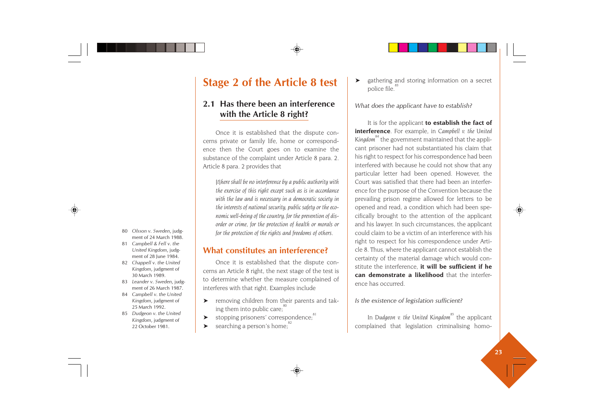# **Stage 2 of the Article 8 test**

# **2.1 Has there been an interference with the Article 8 right?**

Once it is established that the dispute concerns private or family life, home or correspondence then the Court goes on to examine the substance of the complaint under Article 8 para. 2. Article 8 para. 2 provides that

*[t]here shall be no interference by a public authority with the exercise of this right except such as is in accordance with the law and is necessary in a democratic society in the interests of national security, public safety or the economic well-being of the country, for the prevention of disorder or crime, for the protection of health or morals or for the protection of the rights and freedoms of others.*

# **What constitutes an interference?**

Once it is established that the dispute concerns an Article 8 right, the next stage of the test is to determine whether the measure complained of interferes with that right. Examples include

- ➤ removing children from their parents and taking them into public care; $\degree$
- ▶ stopping prisoners' correspondence:<sup>81</sup>
- $\triangleright$  searching a person's home;

gathering and storing information on a secret police file.<sup>8</sup>

*What does the applicant have to establish?*

It is for the applicant **to establish the fact of interference**. For example, in *Campbell v. the United* Kingdom<sup>84</sup> the government maintained that the applicant prisoner had not substantiated his claim that his right to respect for his correspondence had been interfered with because he could not show that any particular letter had been opened. However, the Court was satisfied that there had been an interference for the purpose of the Convention because the prevailing prison regime allowed for letters to be opened and read, a condition which had been specifically brought to the attention of the applicant and his lawyer. In such circumstances, the applicant could claim to be a victim of an interference with his right to respect for his correspondence under Article 8. Thus, where the applicant cannot establish the certainty of the material damage which would constitute the interference, **it will be sufficient if he can demonstrate a likelihood** that the interference has occurred.

#### *Is the existence of legislation sufficient?*

In *Dudgeon v. the United Kingdom*<sup>85</sup> the applicant complained that legislation criminalising homo-

- 80 *Olsson v. Sweden*, judg ment of 24 March 1988.
- 81 *Campbell & Fell v. the United Kingdom*, judg ment of 28 June 1984.
- 82 *Chappell v. the United Kingdom*, judgment of 30 March 1989.
- 83 *Leander v. Sweden*, judg ment of 26 March 1987.
- 84 *Campbell v. the United Kingdom*, judgment of 25 March 1992.
- 85 *Dudgeon v. the United Kingdom*, judgment of 22 October 1981.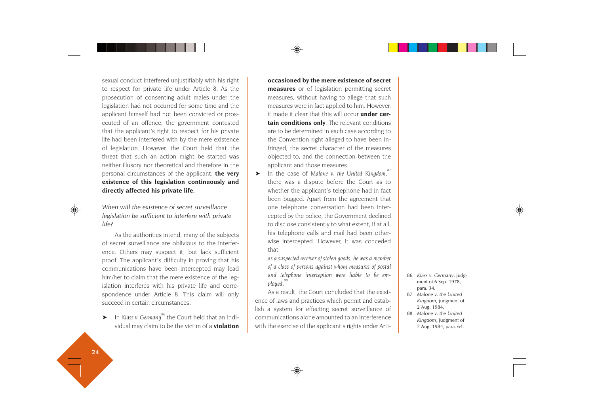sexual conduct interfered unjustifiably with his right to respect for private life under Article 8. As the prosecution of consenting adult males under the legislation had not occurred for some time and the applicant himself had not been convicted or prosecuted of an offence, the government contested that the applicant's right to respect for his private life had been interfered with by the mere existence of legislation. However, the Court held that the threat that such an action might be started was neither illusory nor theoretical and therefore in the personal circumstances of the applicant, **the very existence of this legislation continuously and directly affected his private life.**

*When will the existence of secret surveillance legislation be sufficient to interfere with private life?*

As the authorities intend, many of the subjects of secret surveillance are oblivious to the interference. Others may suspect it, but lack sufficient proof. The applicant's difficulty in proving that his communications have been intercepted may lead him/her to claim that the mere existence of the legislation interferes with his private life and correspondence under Article 8. This claim will only succeed in certain circumstances.

➤ In *Klass v. Germany*86 the Court held that an individual may claim to be the victim of a **violation**

# **occasioned by the mere existence of secret measures** or of legislation permitting secret measures, without having to allege that such measures were in fact applied to him. However, it made it clear that this will occur **under certain conditions only**. The relevant conditions are to be determined in each case according to the Convention right alleged to have been infringed, the secret character of the measures objected to, and the connection between the applicant and those measures.

► In the case of Malone v. the United Kingdom,<sup>8</sup> there was a dispute before the Court as to whether the applicant's telephone had in fact been bugged. Apart from the agreement that one telephone conversation had been intercepted by the police, the Government declined to disclose consistently to what extent, if at all, his telephone calls and mail had been otherwise intercepted. However, it was conceded that

*as a suspected receiver of stolen goods, he was a member of a class of persons against whom measures of postal and telephone interception were liable to be employed.<sup>88</sup>*

As a result, the Court concluded that the existence of laws and practices which permit and establish a system for effecting secret surveillance of communications alone amounted to an interference with the exercise of the applicant's rights under Arti-

- 86 *Klass v. Germany*, judg ment of 6 Sep. 1978, para. 34.
- 87 *Malone v. the United Kingdom*, judgment of 2 Aug. 1984.
- 88 *Malone v. the United Kingdom*, judgment of 2 Aug. 1984, para. 64.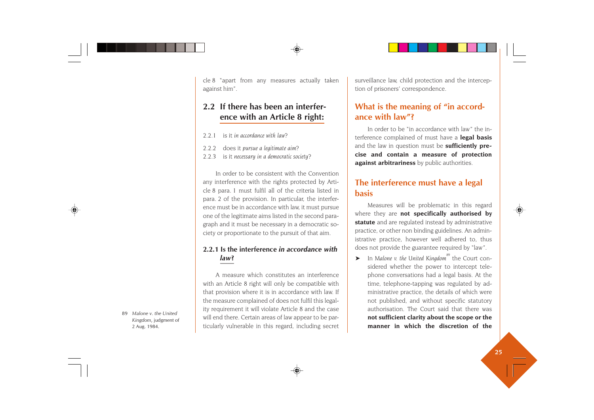cle 8 "apart from any measures actually taken against him".

# **2.2 If there has been an interference with an Article 8 right:**

- 2.2.1 is it *in accordance with law*?
- 2.2.2 does it *pursue a legitimate aim*?
- 2.2.3 is it *necessary in a democratic society*?

In order to be consistent with the Convention any interference with the rights protected by Article 8 para. 1 must fulfil all of the criteria listed in para. 2 of the provision. In particular, the interference must be in accordance with law, it must pursue one of the legitimate aims listed in the second paragraph and it must be necessary in a democratic society or proportionate to the pursuit of that aim.

# **2.2.1 Is the interference** *in accordance with law***?**

A measure which constitutes an interference with an Article 8 right will only be compatible with that provision where it is in accordance with law. If the measure complained of does not fulfil this legality requirement it will violate Article 8 and the case will end there. Certain areas of law appear to be particularly vulnerable in this regard, including secret surveillance law, child protection and the interception of prisoners' correspondence.

# **What is the meaning of "in accordance with law"?**

In order to be "in accordance with law" the interference complained of must have a **legal basis** and the law in question must be **sufficiently precise and contain a measure of protection against arbitrariness** by public authorities.

# **The interference must have a legal basis**

Measures will be problematic in this regard where they are **not specifically authorised by statute** and are regulated instead by administrative practice, or other non binding guidelines. An administrative practice, however well adhered to, thus does not provide the guarantee required by "law".

➤ In *Malone v. the United Kingdom*89 the Court considered whether the power to intercept telephone conversations had a legal basis. At the time, telephone-tapping was regulated by administrative practice, the details of which were not published, and without specific statutory authorisation. The Court said that there was **not sufficient clarity about the scope or the manner in which the discretion of the**

89 *Malone v. the United Kingdom*, judgment of 2 Aug. 1984.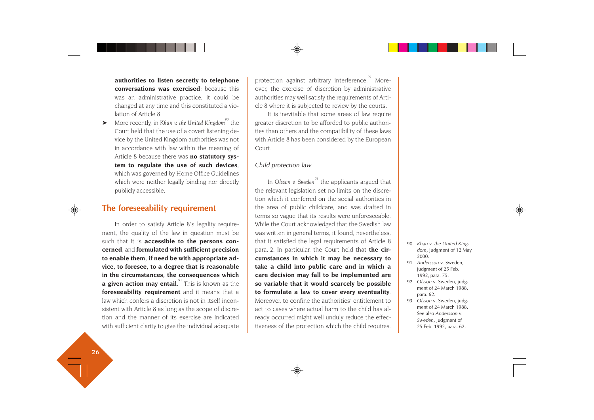**authorities to listen secretly to telephone conversations was exercised**: because this was an administrative practice, it could be changed at any time and this constituted a violation of Article 8.

➤ More recently, in *Khan v. the United Kingdom*90 the Court held that the use of a covert listening device by the United Kingdom authorities was not in accordance with law within the meaning of Article 8 because there was **no statutory system to regulate the use of such devices**, which was governed by Home Office Guidelines which were neither legally binding nor directly publicly accessible.

# **The foreseeability requirement**

In order to satisfy Article 8's legality requirement, the quality of the law in question must be such that it is **accessible to the persons concerned**, and **formulated with sufficient precision to enable them, if need be with appropriate advice, to foresee, to a degree that is reasonable in the circumstances, the consequences which a given action may entail**.<sup>91</sup> This is known as the **foreseeability requirement** and it means that a law which confers a discretion is not in itself inconsistent with Article 8 as long as the scope of discretion and the manner of its exercise are indicated with sufficient clarity to give the individual adequate protection against arbitrary interference.<sup>92</sup> Moreover, the exercise of discretion by administrative authorities may well satisfy the requirements of Article 8 where it is subjected to review by the courts.

It is inevitable that some areas of law require greater discretion to be afforded to public authorities than others and the compatibility of these laws with Article 8 has been considered by the European Court.

#### *Child protection law*

In *Olsson v. Sweden*<sup>93</sup> the applicants argued that the relevant legislation set no limits on the discretion which it conferred on the social authorities in the area of public childcare, and was drafted in terms so vague that its results were unforeseeable. While the Court acknowledged that the Swedish law was written in general terms, it found, nevertheless, that it satisfied the legal requirements of Article 8 para. 2. In particular, the Court held that **the circumstances in which it may be necessary to take a child into public care and in which a care decision may fall to be implemented are so variable that it would scarcely be possible to formulate a law to cover every eventuality**. Moreover, to confine the authorities' entitlement to act to cases where actual harm to the child has already occurred might well unduly reduce the effectiveness of the protection which the child requires.

- 90 *Khan v. the United Kingdom*, judgment of 12 May 2000.
- 91 *Andersson* v. Sweden, judgment of 25 Feb. 1992, para. 75.
- 92 *Olsson* v. Sweden, judgment of 24 March 1988, para. 62.
- 93 *Olsson* v. Sweden, judgment of 24 March 1988. See also *Andersson v. Sweden*, judgment of 25 Feb. 1992, para. 62.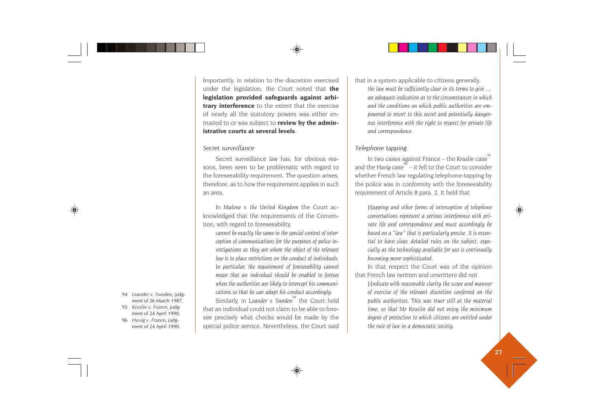Importantly, in relation to the discretion exercised under the legislation, the Court noted that **the legislation provided safeguards against arbitrary interference** to the extent that the exercise of nearly all the statutory powers was either entrusted to or was subject to **review by the administrative courts at several levels**.

#### *Secret surveillance*

Secret surveillance law has, for obvious reasons, been seen to be problematic with regard to the foreseeability requirement. The question arises, therefore, as to how the requirement applies in such an area.

In *Malone v. the United Kingdom* the Court acknowledged that the requirements of the Convention, with regard to foreseeability,

*cannot be exactly the same in the special context of interception of communications for the purposes of police investigations as they are where the object of the relevant law is to place restrictions on the conduct of individuals. In particular, the requirement of foreseeability cannot mean that an individual should be enabled to foresee when the authorities are likely to intercept his communications so that he can adapt his conduct accordingly.*

Similarly, in *Leander v. Sweden*<sup>94</sup> the Court held that an individual could not claim to be able to foresee precisely what checks would be made by the special police service. Nevertheless, the Court said that in a system applicable to citizens generally, *the law must be sufficiently clear in its terms to give … an adequate indication as to the circumstances in which and the conditions on which public authorities are empowered to resort to this secret and potentially dangerous interference with the right to respect for private life and correspondence.*

### *Telephone tapping*

In two cases against France – the Kruslin case<sup>7</sup> and the *Huvig* case<sup> $96$ </sup> – it fell to the Court to consider whether French law regulating telephone-tapping by the police was in conformity with the foreseeability requirement of Article 8 para. 2. It held that

*[t]apping and other forms of interception of telephone conversations represent a serious interference with private life and correspondence and must accordingly be based on a "law" that is particularly precise. It is essential to have clear, detailed rules on the subject, especially as the technology available for use is continually becoming more sophisticated.*

In that respect the Court was of the opinion that French law (written and unwritten) did not

*[i]ndicate with reasonable clarity the scope and manner of exercise of the relevant discretion conferred on the public authorities. This was truer still at the material time, so that Mr Kruslin did not enjoy the minimum degree of protection to which citizens are entitled under the rule of law in a democratic society.*

- 94 *Leander v. Sweden*, judgment of 26 March 1987.
- 95 *Kruslin v. France*, judgment of 24 April 1990.
- 96 *Huvig v. France*, judgment of 24 April 1990.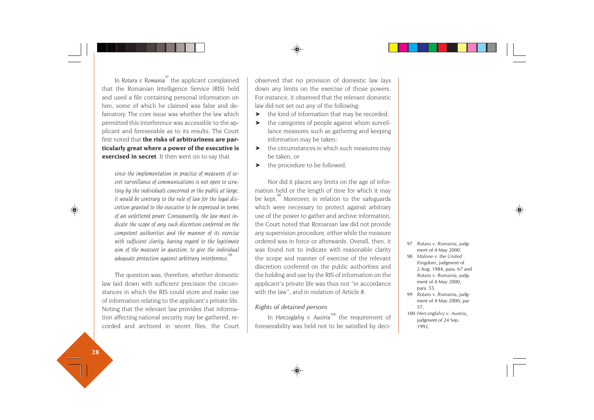In *Rotaru v. Romania*<sup>97</sup> the applicant complained that the Romanian Intelligence Service (RIS) held and used a file containing personal information on him, some of which he claimed was false and defamatory. The core issue was whether the law which permitted this interference was accessible to the applicant and foreseeable as to its results. The Court first noted that **the risks of arbitrariness are particularly great where a power of the executive is exercised in secret**. It then went on to say that

*since the implementation in practice of measures of secret surveillance of communications is not open to scrutiny by the individuals concerned or the public at large, it would be contrary to the rule of law for the legal discretion granted to the executive to be expressed in terms of an unfettered power. Consequently, the law must indicate the scope of any such discretion conferred on the competent authorities and the manner of its exercise with sufficient clarity, having regard to the legitimate aim of the measure in question, to give the individual adequate protection against arbitrary interference.*<sup>9</sup>

The question was, therefore, whether domestic law laid down with sufficient precision the circumstances in which the RIS could store and make use of information relating to the applicant's private life. Noting that the relevant law provides that information affecting national security may be gathered, recorded and archived in secret files, the Court observed that no provision of domestic law lays down any limits on the exercise of those powers. For instance, it observed that the relevant domestic law did not set out any of the following:

- ➤ the kind of information that may be recorded;
- ➤ the categories of people against whom surveillance measures such as gathering and keeping information may be taken;
- ➤ the circumstances in which such measures may be taken, or
- ➤ the procedure to be followed.

Nor did it places any limits on the age of information held or the length of time for which it may be kept.<sup>99</sup> Moreover, in relation to the safeguards which were necessary to protect against arbitrary use of the power to gather and archive information, the Court noted that Romanian law did not provide any supervision procedure, either while the measure ordered was in force or afterwards. Overall, then, it was found not to indicate with reasonable clarity the scope and manner of exercise of the relevant discretion conferred on the public authorities and the holding and use by the RIS of information on the applicant's private life was thus not "in accordance with the law", and in violation of Article 8.

#### *Rights of detained persons*

In *Herczegfalvy v. Austria*<sup>100</sup> the requirement of foreseeability was held not to be satisfied by deci-

- 97 *Rotaru v. Romania*, judg ment of 4 May 2000.
- 98 *Malone v. the United Kingdom*, judgment of 2 Aug. 1984, para. 67 and *Rotaru v. Romania*, judg ment of 4 May 2000, para. 55.
- 99 *Rotaru v. Romania*, judg ment of 4 May 2000, par 57.
- 100 *Herczegfalvy v. Austria*, judgment of 24 Sep. 1992.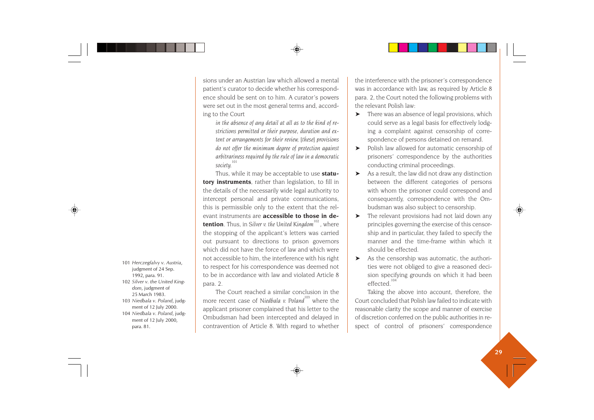sions under an Austrian law which allowed a mental patient's curator to decide whether his correspondence should be sent on to him. A curator's powers were set out in the most general terms and, according to the Court

*in the absence of any detail at all as to the kind of restrictions permitted or their purpose, duration and extent or arrangements for their review, [these] provisions do not offer the minimum degree of protection against arbitrariness required by the rule of law in a democratic*  $societu.<sup>10</sup>$ 

Thus, while it may be acceptable to use **statutory instruments**, rather than legislation, to fill in the details of the necessarily wide legal authority to intercept personal and private communications, this is permissible only to the extent that the relevant instruments are **accessible to those in detention**. Thus, in *Silver v. the United Kingdom*<sup>102</sup>, where the stopping of the applicant's letters was carried out pursuant to directions to prison governors which did not have the force of law and which were not accessible to him, the interference with his right to respect for his correspondence was deemed not to be in accordance with law and violated Article 8 para. 2.

The Court reached a similar conclusion in the more recent case of *Niedbala v. Poland*<sup>103</sup> where the applicant prisoner complained that his letter to the Ombudsman had been intercepted and delayed in contravention of Article 8. With regard to whether the interference with the prisoner's correspondence was in accordance with law, as required by Article 8 para. 2, the Court noted the following problems with the relevant Polish law:

- ➤ There was an absence of legal provisions, which could serve as a legal basis for effectively lodging a complaint against censorship of correspondence of persons detained on remand.
- ➤ Polish law allowed for automatic censorship of prisoners' correspondence by the authorities conducting criminal proceedings.
- As a result, the law did not draw any distinction between the different categories of persons with whom the prisoner could correspond and consequently, correspondence with the Ombudsman was also subject to censorship.
- ➤ The relevant provisions had not laid down any principles governing the exercise of this censorship and in particular, they failed to specify the manner and the time-frame within which it should be effected.
- ➤ As the censorship was automatic, the authorities were not obliged to give a reasoned decision specifying grounds on which it had been effected<sup>104</sup>

Taking the above into account, therefore, the Court concluded that Polish law failed to indicate with reasonable clarity the scope and manner of exercise of discretion conferred on the public authorities in respect of control of prisoners' correspondence

- 101 *Herczegfalvy v. Austria*, judgment of 24 Sep. 1992, para. 91.
- 102 *Silver v. the United Kingdom*, judgment of 25 March 1983.
- 103 *Niedbala v. Poland*, judgment of 12 July 2000.
- 104 *Niedbala v. Poland*, judgment of 12 July 2000, para. 81.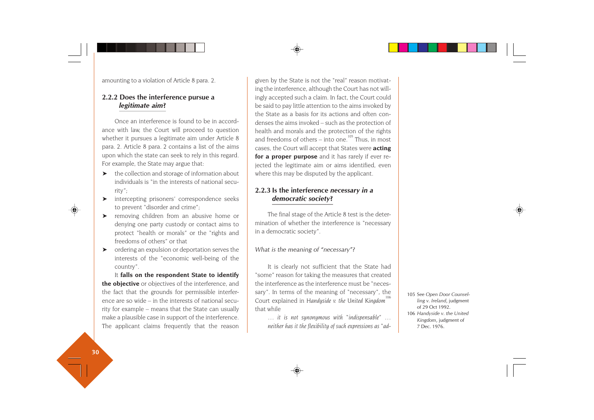amounting to a violation of Article 8 para. 2.

### **2.2.2 Does the interference pursue a** *legitimate aim***?**

Once an interference is found to be in accordance with law, the Court will proceed to question whether it pursues a legitimate aim under Article 8 para. 2. Article 8 para. 2 contains a list of the aims upon which the state can seek to rely in this regard. For example, the State may argue that:

- ➤ the collection and storage of information about individuals is "in the interests of national security";
- ➤ intercepting prisoners' correspondence seeks to prevent "disorder and crime";
- ➤ removing children from an abusive home or denying one party custody or contact aims to protect "health or morals" or the "rights and freedoms of others" or that
- ➤ ordering an expulsion or deportation serves the interests of the "economic well-being of the country".

It **falls on the respondent State to identify the objective** or objectives of the interference, and the fact that the grounds for permissible interference are so wide – in the interests of national security for example – means that the State can usually make a plausible case in support of the interference. The applicant claims frequently that the reason given by the State is not the "real" reason motivating the interference, although the Court has not willingly accepted such a claim. In fact, the Court could be said to pay little attention to the aims invoked by the State as a basis for its actions and often condenses the aims invoked – such as the protection of health and morals and the protection of the rights and freedoms of others – into one.<sup>105</sup> Thus, in most cases, the Court will accept that States were **acting for a proper purpose** and it has rarely if ever rejected the legitimate aim or aims identified, even where this may be disputed by the applicant.

### **2.2.3 Is the interference** *necessary in a democratic society***?**

The final stage of the Article 8 test is the determination of whether the interference is "necessary in a democratic society".

*What is the meaning of "necessary"?*

It is clearly not sufficient that the State had "some" reason for taking the measures that created the interference as the interference must be "necessary". In terms of the meaning of "necessary", the Court explained in *Handyside v. the United Kingdom*<sup>1</sup> that while

*… it is not synonymous with "indispensable" … neither has it the flexibility of such expressions as "ad-* 105 See *Open Door Counsel ling v. Ireland*, judgment of 29 Oct 1992. 106 *Handyside v. the United Kingdom*, judgment of 7 Dec. 1976.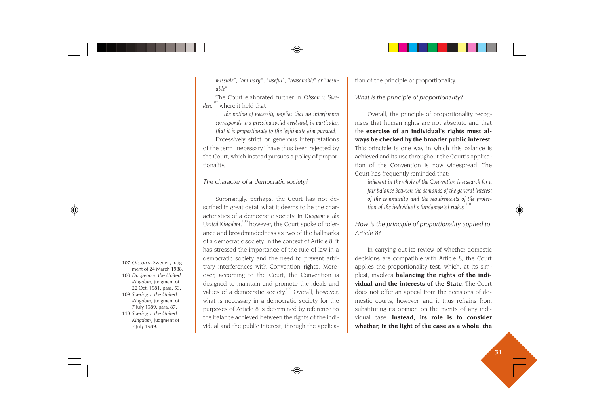*missible", "ordinary", "useful", "reasonable" or "desirable".*

The Court elaborated further in *Olsson v. Sweden,*<sup>107</sup> where it held that

*… the notion of necessity implies that an interference corresponds to a pressing social need and, in particular, that it is proportionate to the legitimate aim pursued.* Excessively strict or generous interpretations of the term "necessary" have thus been rejected by the Court, which instead pursues a policy of proportionality.

#### *The character of a democratic society?*

Surprisingly, perhaps, the Court has not described in great detail what it deems to be the characteristics of a democratic society. In *Dudgeon v. the* United Kingdom,<sup>108</sup> however, the Court spoke of tolerance and broadmindedness as two of the hallmarks of a democratic society. In the context of Article 8, it has stressed the importance of the rule of law in a democratic society and the need to prevent arbitrary interferences with Convention rights. Moreover, according to the Court, the Convention is designed to maintain and promote the ideals and values of a democratic society.<sup>109</sup> Overall, however, what is necessary in a democratic society for the purposes of Article 8 is determined by reference to the balance achieved between the rights of the individual and the public interest, through the applica-107 Olsson v. Sweden, judgment of<br>
108 Dudgeon v. the United<br>
22 Oct. 1981, para. 53.<br>
Magdom, judgment of<br> *Kingdom*, judgment of<br> *Kingdom*, judgment of<br> *Kingdom*, judgment of<br> *Kingdom*, judgment of<br> *Kingdom*, judgmen

tion of the principle of proportionality.

#### *What is the principle of proportionality?*

Overall, the principle of proportionality recog nises that human rights are not absolute and that the **exercise of an individual's rights must al ways be checked by the broader public interest**. This principle is one way in which this balance is achieved and its use throughout the Court's applica tion of the Convention is now widespread. The Court has frequently reminded that:

*inherent in the whole of the Convention is a search for a fair balance between the demands of the general interest of the community and the requirements of the protec tion of the individual's fundamental rights.* 

*How is the principle of proportionality applied to Article 8?*

In carrying out its review of whether domestic decisions are compatible with Article 8, the Court applies the proportionality test, which, at its sim plest, involves **balancing the rights of the indi vidual and the interests of the State**. The Court does not offer an appeal from the decisions of do mestic courts, however, and it thus refrains from substituting its opinion on the merits of any indi vidual case. **Instead, its role is to consider**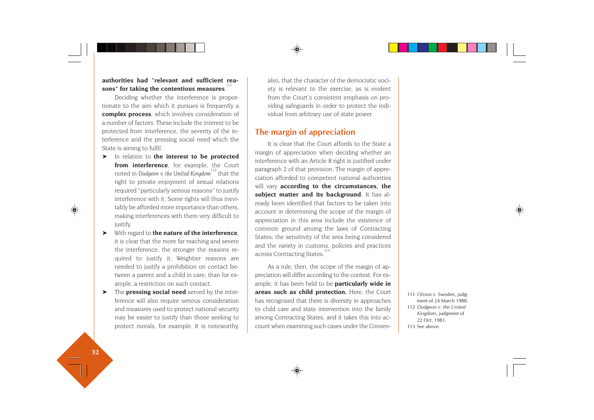### **authorities had "relevant and sufficient rea**sons" for taking the contentious measures.

Deciding whether the interference is proportionate to the aim which it pursues is frequently a **complex process**, which involves consideration of a number of factors. These include the interest to be protected from interference, the severity of the interference and the pressing social need which the State is aiming to fulfil.

- ➤ In relation to **the interest to be protected from interference**, for example, the Court noted in *Dudgeon v. the United Kingdom*<sup>112</sup> that the right to private enjoyment of sexual relations required "particularly serious reasons" to justify interference with it. Some rights will thus inevitably be afforded more importance than others, making interferences with them very difficult to justify.
- ➤ With regard to **the nature of the interference**, it is clear that the more far reaching and severe the interference, the stronger the reasons required to justify it. Weightier reasons are needed to justify a prohibition on contact between a parent and a child in care, than for example, a restriction on such contact.
- ➤ The **pressing social need** served by the interference will also require serious consideration and measures used to protect national security may be easier to justify than those seeking to protect morals, for example. It is noteworthy,

also, that the character of the democratic society is relevant to the exercise, as is evident from the Court's consistent emphasis on providing safeguards in order to protect the individual from arbitrary use of state power.

# **The margin of appreciation**

It is clear that the Court affords to the State a margin of appreciation when deciding whether an interference with an Article 8 right is justified under paragraph 2 of that provision. The margin of appreciation afforded to competent national authorities will vary **according to the circumstances, the subject matter and its background**. It has already been identified that factors to be taken into account in determining the scope of the margin of appreciation in this area include the existence of common ground among the laws of Contracting States; the sensitivity of the area being considered and the variety in customs, policies and practices across Contracting States.

As a rule, then, the scope of the margin of appreciation will differ according to the context. For example, it has been held to be **particularly wide in areas such as child protection.** Here, the Court has recognised that there is diversity in approaches to child care and state intervention into the family among Contracting States, and it takes this into account when examining such cases under the Conven-

 *Olsson* v. Sweden, judg ment of 24 March 1988. *Dudgeon v. the United Kingdom*, judgment of Oct. 1981. See above.

**32**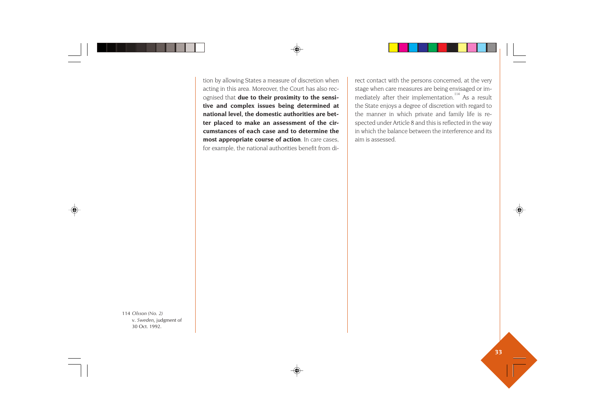tion by allowing States a measure of discretion when acting in this area. Moreover, the Court has also recognised that **due to their proximity to the sensitive and complex issues being determined at national level, the domestic authorities are better placed to make an assessment of the circumstances of each case and to determine the most appropriate course of action**. In care cases, for example, the national authorities benefit from direct contact with the persons concerned, at the very stage when care measures are being envisaged or im mediately after their implementation.<sup>114</sup> As a result the State enjoys a degree of discretion with regard to the manner in which private and family life is re spected under Article 8 and this is reflected in the way in which the balance between the interference and its aim is assessed.

114 *Olsson (No. 2)* v. *Sweden*, judgment of 30 Oct. 1992.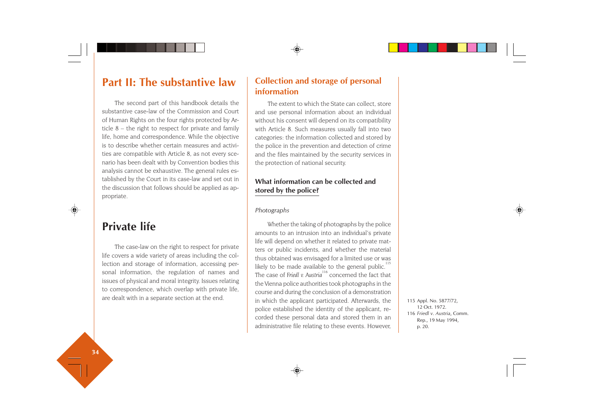# **Part II: The substantive law**

The second part of this handbook details the substantive case-law of the Commission and Court of Human Rights on the four rights protected by Article 8 – the right to respect for private and family life, home and correspondence. While the objective is to describe whether certain measures and activities are compatible with Article 8, as not every scenario has been dealt with by Convention bodies this analysis cannot be exhaustive. The general rules established by the Court in its case-law and set out in the discussion that follows should be applied as appropriate.

# **Private life**

The case-law on the right to respect for private life covers a wide variety of areas including the collection and storage of information, accessing personal information, the regulation of names and issues of physical and moral integrity. Issues relating to correspondence, which overlap with private life, are dealt with in a separate section at the end.

# **Collection and storage of personal information**

The extent to which the State can collect, store and use personal information about an individual without his consent will depend on its compatibility with Article 8. Such measures usually fall into two categories: the information collected and stored by the police in the prevention and detection of crime and the files maintained by the security services in the protection of national security.

# **What information can be collected and stored by the police?**

### *Photographs*

Whether the taking of photographs by the police amounts to an intrusion into an individual's private life will depend on whether it related to private matters or public incidents, and whether the material thus obtained was envisaged for a limited use or was likely to be made available to the general public.<sup>115</sup> The case of *Friedl v. Austria<sup>116</sup>* concerned the fact that the Vienna police authorities took photographs in the course and during the conclusion of a demonstration in which the applicant participated. Afterwards, the police established the identity of the applicant, recorded these personal data and stored them in an administrative file relating to these events. However,

115 Appl. No. 5877/72, 12 Oct. 1972. 116 *Friedl v. Austria*, Comm. Rep., 19 May 1994, p. 20.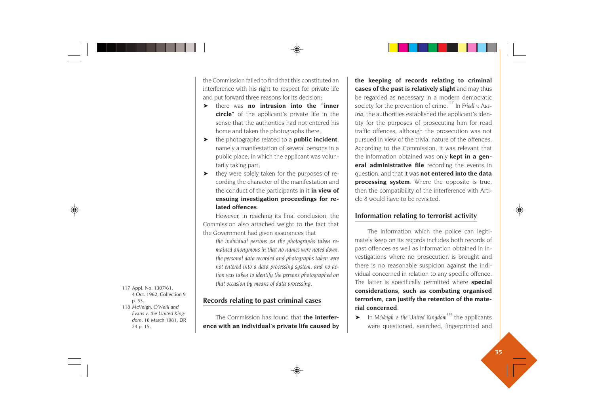the Commission failed to find that this constituted an interference with his right to respect for private life and put forward three reasons for its decision:

- ➤ there was **no intrusion into the "inner circle"** of the applicant's private life in the sense that the authorities had not entered his home and taken the photographs there;
- ➤ the photographs related to a **public incident**, namely a manifestation of several persons in a public place, in which the applicant was voluntarily taking part;
- ➤ they were solely taken for the purposes of recording the character of the manifestation and the conduct of the participants in it **in view of ensuing investigation proceedings for related offences**.

However, in reaching its final conclusion, the Commission also attached weight to the fact that the Government had given assurances that

*the individual persons on the photographs taken remained anonymous in that no names were noted down, the personal data recorded and photographs taken were not entered into a data processing system, and no action was taken to identify the persons photographed on that occasion by means of data processing.*

#### **Records relating to past criminal cases**

The Commission has found that **the interference with an individual's private life caused by** **the keeping of records relating to criminal cases of the past is relatively slight** and may thus be regarded as necessary in a modern democratic society for the prevention of crime.<sup>117</sup> In *Friedl v. Austria*, the authorities established the applicant's identity for the purposes of prosecuting him for road traffic offences, although the prosecution was not pursued in view of the trivial nature of the offences. According to the Commission, it was relevant that the information obtained was only **kept in a general administrative file** recording the events in question, and that it was **not entered into the data processing system**. Where the opposite is true, then the compatibility of the interference with Article 8 would have to be revisited.

### **Information relating to terrorist activity**

The information which the police can legitimately keep on its records includes both records of past offences as well as information obtained in investigations where no prosecution is brought and there is no reasonable suspicion against the individual concerned in relation to any specific offence. The latter is specifically permitted where **special considerations, such as combating organised terrorism, can justify the retention of the material concerned**.

➤ In *McVeigh v. the United Kingdom*118 the applicants were questioned, searched, fingerprinted and

117 Appl. No. 1307/61, 4 Oct. 1962, Collection 9 p. 53. 118 *McVeigh, O'Neill and Evans v. the United Kingdom*, 18 March 1981, DR 24 p. 15.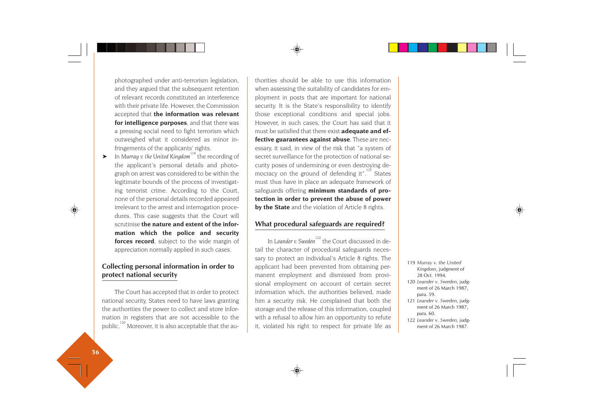photographed under anti-terrorism legislation, and they argued that the subsequent retention of relevant records constituted an interference with their private life. However, the Commission accepted that **the information was relevant for intelligence purposes**, and that there was a pressing social need to fight terrorism which outweighed what it considered as minor infringements of the applicants' rights.

➤ In *Murray v. the United Kingdom*119 the recording of the applicant's personal details and photograph on arrest was considered to be within the legitimate bounds of the process of investigating terrorist crime. According to the Court, none of the personal details recorded appeared irrelevant to the arrest and interrogation procedures. This case suggests that the Court will scrutinise **the nature and extent of the information which the police and security forces record**, subject to the wide margin of appreciation normally applied in such cases.

# **Collecting personal information in order to protect national security**

The Court has accepted that in order to protect national security, States need to have laws granting the authorities the power to collect and store information in registers that are not accessible to the public.<sup>120</sup> Moreover, it is also acceptable that the au-

thorities should be able to use this information when assessing the suitability of candidates for em ployment in posts that are important for national security. It is the State's responsibility to identify those exceptional conditions and special jobs. However, in such cases, the Court has said that it must be satisfied that there exist **adequate and ef fective guarantees against abuse**. These are nec essary, it said, in view of the risk that "a system of secret surveillance for the protection of national se curity poses of undermining or even destroying de mocracy on the ground of defending it".<sup>121</sup> States must thus have in place an adequate framework of safeguards offering **minimum standards of pro tection in order to prevent the abuse of power by the State** and the violation of Article 8 rights.

### **What procedural safeguards are required?**

In *Leander v. Sweden*<sup>122</sup> the Court discussed in detail the character of procedural safeguards neces sary to protect an individual's Article 8 rights. The applicant had been prevented from obtaining per manent employment and dismissed from provi sional employment on account of certain secret information which, the authorities believed, made him a security risk. He complained that both the storage and the release of this information, coupled with a refusal to allow him an opportunity to refute applicant had been prevented from obtaining per-<br>
manent employment and dismissed from provi-<br>
sional employment on account of certain secret<br>
information which, the authorities believed, made<br>
him a security risk. He comp

- 
- 
- 
-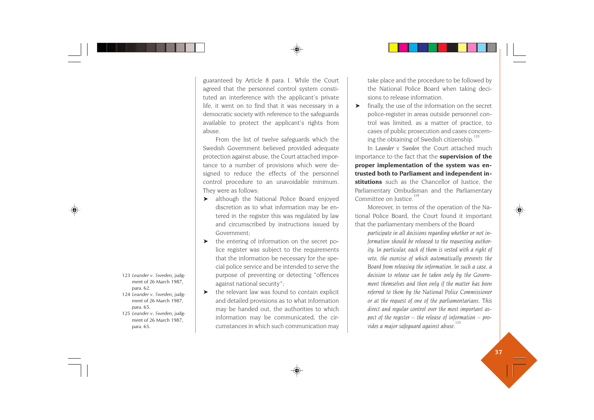guaranteed by Article 8 para. 1. While the Court agreed that the personnel control system constituted an interference with the applicant's private life, it went on to find that it was necessary in a democratic society with reference to the safeguards available to protect the applicant's rights from abuse.

From the list of twelve safeguards which the Swedish Government believed provided adequate protection against abuse, the Court attached importance to a number of provisions which were designed to reduce the effects of the personnel control procedure to an unavoidable minimum. They were as follows:

- ➤ although the National Police Board enjoyed discretion as to what information may be entered in the register this was regulated by law and circumscribed by instructions issued by Government;
- ➤ the entering of information on the secret police register was subject to the requirements that the information be necessary for the special police service and be intended to serve the purpose of preventing or detecting "offences against national security";
- ➤ the relevant law was found to contain explicit and detailed provisions as to what information may be handed out, the authorities to which information may be communicated, the circumstances in which such communication may

take place and the procedure to be followed by the National Police Board when taking decisions to release information.

➤ finally, the use of the information on the secret police-register in areas outside personnel control was limited, as a matter of practice, to cases of public prosecution and cases concerning the obtaining of Swedish citizenship.

In *Leander v. Sweden* the Court attached much importance to the fact that the **supervision of the proper implementation of the system was entrusted both to Parliament and independent institutions** such as the Chancellor of Justice, the Parliamentary Ombudsman and the Parliamentary Committee on Justice. 124

Moreover, in terms of the operation of the National Police Board, the Court found it important that the parliamentary members of the Board

*participate in all decisions regarding whether or not information should be released to the requesting authority. In particular, each of them is vested with a right of veto, the exercise of which automatically prevents the Board from releasing the information. In such a case, a decision to release can be taken only by the Government themselves and then only if the matter has been referred to them by the National Police Commissioner or at the request of one of the parliamentarians. This direct and regular control over the most important aspect of the register – the release of information – provides a major safeguard against abuse.<sup>125</sup>*

- 123 *Leander v. Sweden*, judgment of 26 March 1987, para. 62.
- 124 *Leander v. Sweden*, judgment of 26 March 1987, para. 65.
- 125 *Leander v. Sweden*, judgment of 26 March 1987, para. 65.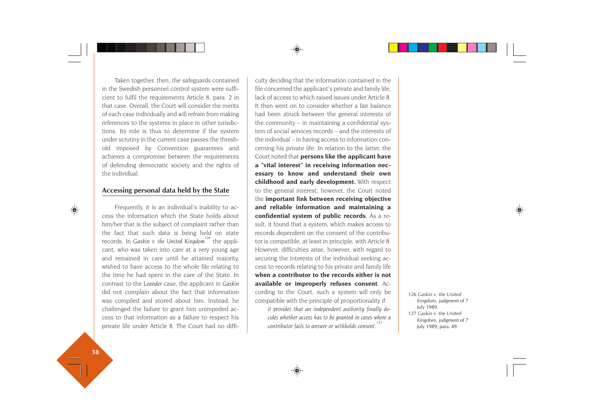Taken together, then, the safeguards contained in the Swedish personnel control system were sufficient to fulfil the requirements Article 8, para. 2 in that case. Overall, the Court will consider the merits of each case individually and will refrain from making references to the systems in place in other jurisdictions. Its role is thus to determine if the system under scrutiny in the current case passes the threshold imposed by Convention guarantees and achieves a compromise between the requirements of defending democratic society and the rights of the individual.

#### **Accessing personal data held by the State**

Frequently, it is an individual's inability to access the information which the State holds about him/her that is the subject of complaint rather than the fact that such data is being held on state records. In *Gaskin v. the United Kingdom*<sup>126</sup> the applicant, who was taken into care at a very young age and remained in care until he attained majority, wished to have access to the whole file relating to the time he had spent in the care of the State. In contrast to the *Leander* case, the applicant in *Gaskin* did not complain about the fact that information was compiled and stored about him. Instead, he challenged the failure to grant him unimpeded access to that information as a failure to respect his private life under Article 8. The Court had no difficulty deciding that the information contained in the file concerned the applicant's private and family life, lack of access to which raised issues under Article 8. It then went on to consider whether a fair balance had been struck between the general interests of the community – in maintaining a confidential sys tem of social services records – and the interests of the individual – in having access to information con cerning his private life. In relation to the latter, the Court noted that **persons like the applicant have <sup>a</sup>"vital interest" in receiving information nec essary to know and understand their own childhood and early development.** With respect to the general interest, however, the Court noted the **important link between receiving objective and reliable information and maintaining a confidential system of public records**. As a re sult, it found that a system, which makes access to records dependent on the consent of the contribu tor is compatible, at least in principle, with Article 8. However, difficulties arise, however, with regard to securing the interests of the individual seeking ac cess to records relating to his private and family life **when a contributor to the records either is not available or improperly refuses consent**. Ac cording to the Court, such a system will only be compatible with the principle of proportionality if

*it provides that an independent authority finally de cides whether access has to be granted in cases where a contributor fails to answer or withholds consent.*<sup>127</sup> 126 *Gaskin v. the United*<br> *kingdom*, judgment of 7<br> *cides whether access has to be granted in cases where a*<br> *Contributor fails to answer or withholds consent.*<sup></sup>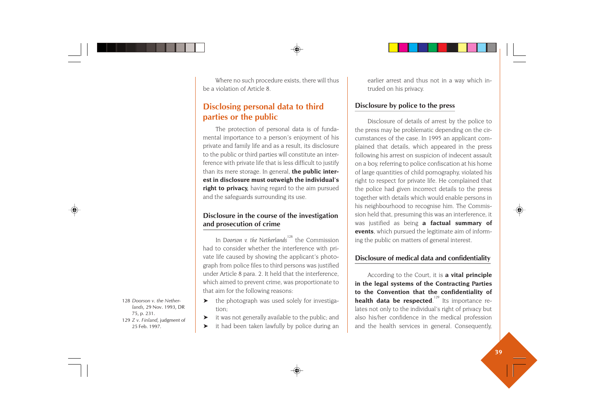Where no such procedure exists, there will thus be a violation of Article 8.

# **Disclosing personal data to third parties or the public**

The protection of personal data is of fundamental importance to a person's enjoyment of his private and family life and as a result, its disclosure to the public or third parties will constitute an interference with private life that is less difficult to justify than its mere storage. In general, **the public interest in disclosure must outweigh the individual's right to privacy,** having regard to the aim pursued and the safeguards surrounding its use.

### **Disclosure in the course of the investigation and prosecution of crime**

In *Doorson v. the Netherlands*<sup>128</sup> the Commission had to consider whether the interference with private life caused by showing the applicant's photograph from police files to third persons was justified under Article 8 para. 2. It held that the interference, which aimed to prevent crime, was proportionate to that aim for the following reasons:

- ➤ the photograph was used solely for investigation;
- ➤ it was not generally available to the public; and
- ➤ it had been taken lawfully by police during an

earlier arrest and thus not in a way which intruded on his privacy.

### **Disclosure by police to the press**

Disclosure of details of arrest by the police to the press may be problematic depending on the circumstances of the case. In 1995 an applicant complained that details, which appeared in the press following his arrest on suspicion of indecent assault on a boy, referring to police confiscation at his home of large quantities of child pornography, violated his right to respect for private life. He complained that the police had given incorrect details to the press together with details which would enable persons in his neighbourhood to recognise him. The Commission held that, presuming this was an interference, it was justified as being **a factual summary of events**, which pursued the legitimate aim of informing the public on matters of general interest.

## **Disclosure of medical data and confidentiality**

According to the Court, it is **a vital principle in the legal systems of the Contracting Parties to the Convention that the confidentiality of health data be respected**.<sup>129</sup> Its importance relates not only to the individual's right of privacy but also his/her confidence in the medical profession and the health services in general. Consequently,

128 *Doorson v. the Netherlands,* 29 Nov. 1993, DR 75, p. 231. 129 *Z v. Finland*, judgment of 25 Feb. 1997.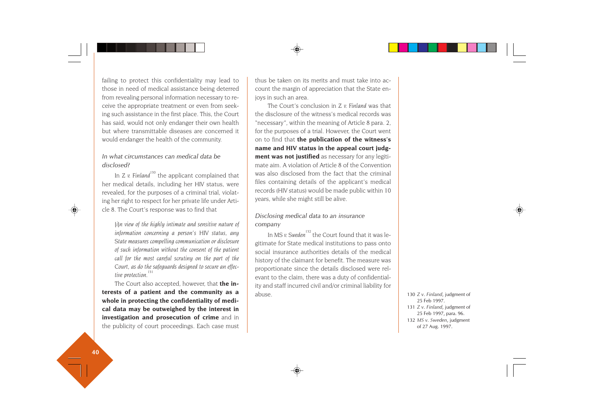failing to protect this confidentiality may lead to those in need of medical assistance being deterred from revealing personal information necessary to receive the appropriate treatment or even from seeking such assistance in the first place. This, the Court has said, would not only endanger their own health but where transmittable diseases are concerned it would endanger the health of the community.

### *In what circumstances can medical data be disclosed?*

In *Z v. Finland<sup>130</sup>* the applicant complained that her medical details, including her HIV status, were revealed, for the purposes of a criminal trial, violating her right to respect for her private life under Article 8. The Court's response was to find that

*[i]n view of the highly intimate and sensitive nature of information concerning a person's HIV status, any State measures compelling communication or disclosure of such information without the consent of the patient call for the most careful scrutiny on the part of the Court, as do the safeguards designed to secure an effective protection.<sup>131</sup>*

The Court also accepted, however, that **the interests of a patient and the community as a whole in protecting the confidentiality of medical data may be outweighed by the interest in investigation and prosecution of crime** and in the publicity of court proceedings. Each case must thus be taken on its merits and must take into account the margin of appreciation that the State enjoys in such an area.

The Court's conclusion in *Z v. Finland* was that the disclosure of the witness's medical records was "necessary", within the meaning of Article 8 para. 2, for the purposes of a trial. However, the Court went on to find that **the publication of the witness's name and HIV status in the appeal court judgment was not justified** as necessary for any legitimate aim. A violation of Article 8 of the Convention was also disclosed from the fact that the criminal files containing details of the applicant's medical records (HIV status) would be made public within 10 years, while she might still be alive.

#### *Disclosing medical data to an insurance company*

In MS v. Sweden<sup>132</sup> the Court found that it was legitimate for State medical institutions to pass onto social insurance authorities details of the medical history of the claimant for benefit. The measure was proportionate since the details disclosed were relevant to the claim, there was a duty of confidentiality and staff incurred civil and/or criminal liability for abuse. <sup>130</sup> *Z v. Finland*, judgment of

25 Feb 1997.

- 131 *Z v. Finland*, judgment of 25 Feb 1997, para. 96.
- 132 *MS v. Sweden*, judgment of 27 Aug. 1997.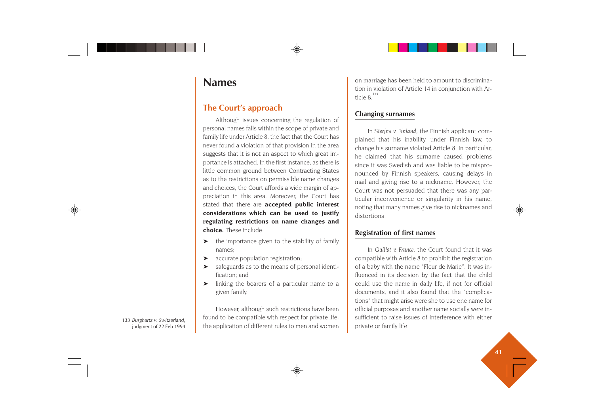# **Names**

# **The Court's approach**

Although issues concerning the regulation of personal names falls within the scope of private and family life under Article 8, the fact that the Court has never found a violation of that provision in the area suggests that it is not an aspect to which great importance is attached. In the first instance, as there is little common ground between Contracting States as to the restrictions on permissible name changes and choices, the Court affords a wide margin of appreciation in this area. Moreover, the Court has stated that there are **accepted public interest considerations which can be used to justify regulating restrictions on name changes and choice.** These include:

- ➤ the importance given to the stability of family names;
- ➤ accurate population registration;
- ➤ safeguards as to the means of personal identification; and
- ➤ linking the bearers of a particular name to a given family.

However, although such restrictions have been found to be compatible with respect for private life, the application of different rules to men and women on marriage has been held to amount to discrimination in violation of Article 14 in conjunction with Article  $8^{133}$ 

# **Changing surnames**

In *Sterjna v. Finland*, the Finnish applicant complained that his inability, under Finnish law, to change his surname violated Article 8. In particular, he claimed that his surname caused problems since it was Swedish and was liable to be mispronounced by Finnish speakers, causing delays in mail and giving rise to a nickname. However, the Court was not persuaded that there was any particular inconvenience or singularity in his name, noting that many names give rise to nicknames and distortions.

# **Registration of first names**

In *Guillot v. France*, the Court found that it was compatible with Article 8 to prohibit the registration of a baby with the name "Fleur de Marie". It was influenced in its decision by the fact that the child could use the name in daily life, if not for official documents, and it also found that the "complications" that might arise were she to use one name for official purposes and another name socially were insufficient to raise issues of interference with either private or family life.

133 *Burghartz v. Switzerland*, judgment of 22 Feb 1994.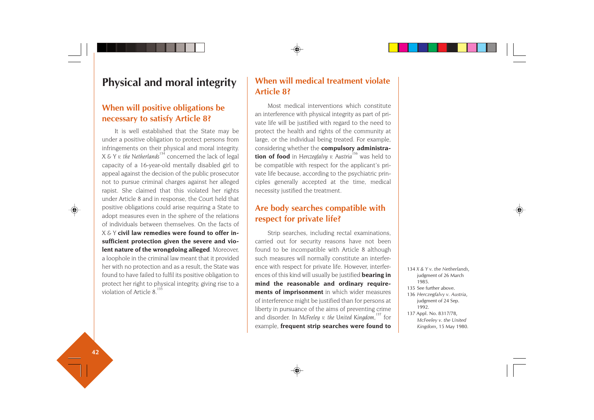# **Physical and moral integrity**

# **When will positive obligations be necessary to satisfy Article 8?**

It is well established that the State may be under a positive obligation to protect persons from infringements on their physical and moral integrity. *<sup>X</sup> & Y v. the Netherlands*134 concerned the lack of legal capacity of a 16-year-old mentally disabled girl to appeal against the decision of the public prosecutor not to pursue criminal charges against her alleged rapist. She claimed that this violated her rights under Article 8 and in response, the Court held that positive obligations could arise requiring a State to adopt measures even in the sphere of the relations of individuals between themselves. On the facts of *X & Y* **civil law remedies were found to offer insufficient protection given the severe and violent nature of the wrongdoing alleged**. Moreover, a loophole in the criminal law meant that it provided her with no protection and as a result, the State was found to have failed to fulfil its positive obligation to protect her right to physical integrity, giving rise to a violation of Article  $8<sup>1</sup>$ 

# **When will medical treatment violate Article 8?**

Most medical interventions which constitute an interference with physical integrity as part of private life will be justified with regard to the need to protect the health and rights of the community at large, or the individual being treated. For example, considering whether the **compulsory administration of food** in *Herczegfalvy v. Austria*<sup>136</sup> was held to be compatible with respect for the applicant's private life because, according to the psychiatric principles generally accepted at the time, medical necessity justified the treatment.

# **Are body searches compatible with respect for private life?**

Strip searches, including rectal examinations, carried out for security reasons have not been found to be incompatible with Article 8 although such measures will normally constitute an interference with respect for private life. However, interferences of this kind will usually be justified **bearing in mind the reasonable and ordinary requirements of imprisonment** in which wider measures of interference might be justified than for persons at liberty in pursuance of the aims of preventing crime and disorder. In McFeeley v. the United Kingdom,<sup>137</sup> for example, **frequent strip searches were found to**

134 *X & Y v. the Netherlands*, judgment of 26 March 1985. 135 See further above.

136 *Herczegfalvy v. Austria*, judgment of 24 Sep. 1992.

137 Appl. No. 8317/78, *McFeeley v. the United Kingdom*, 15 May 1980.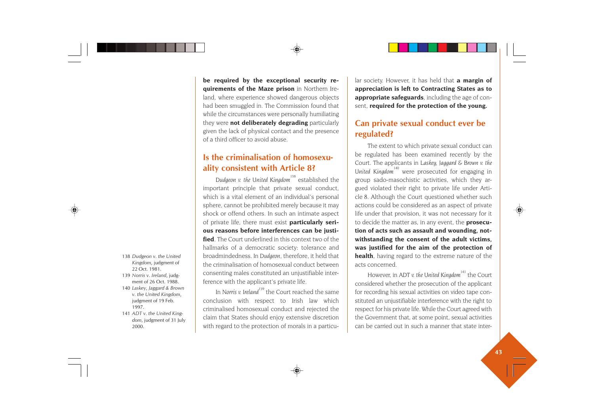**be required by the exceptional security requirements of the Maze prison** in Northern Ireland, where experience showed dangerous objects had been smuggled in. The Commission found that while the circumstances were personally humiliating they were **not deliberately degrading** particularly given the lack of physical contact and the presence of a third officer to avoid abuse.

# **Is the criminalisation of homosexuality consistent with Article 8?**

Dudgeon v. the United Kingdom<sup>138</sup> established the important principle that private sexual conduct, which is a vital element of an individual's personal sphere, cannot be prohibited merely because it may shock or offend others. In such an intimate aspect of private life, there must exist **particularly serious reasons before interferences can be justified**. The Court underlined in this context two of the hallmarks of a democratic society: tolerance and broadmindedness. In *Dudgeon*, therefore, it held that the criminalisation of homosexual conduct between consenting males constituted an unjustifiable interference with the applicant's private life.

In *Norris v. Ireland*<sup>139</sup> the Court reached the same conclusion with respect to Irish law which criminalised homosexual conduct and rejected the claim that States should enjoy extensive discretion with regard to the protection of morals in a particular society. However, it has held that **a margin of appreciation is left to Contracting States as to appropriate safeguards**, including the age of con sent, **required for the protection of the young.**

# **Can private sexual conduct ever be regulated?**

The extent to which private sexual conduct can be regulated has been examined recently by the Court. The applicants in *Laskey, Jaggard & Brown v. the United Kingdom<sup>140</sup>* were prosecuted for engaging in group sado-masochistic activities, which they ar gued violated their right to private life under Arti cle 8. Although the Court questioned whether such actions could be considered as an aspect of private life under that provision, it was not necessary for it to decide the matter as, in any event, the **prosecu tion of acts such as assault and wounding, not withstanding the consent of the adult victims, was justified for the aim of the protection of health**, having regard to the extreme nature of the acts concerned.

However, in *ADT v. the United Kingdom*<sup>141</sup> the Court considered whether the prosecution of the applicant for recording his sexual activities on video tape con stituted an unjustifiable interference with the right to respect for his private life. While the Court agreed with the Government that, at some point, sexual activities 138 Dudgeon v. the United<br>
22 Oct. 1981.<br>
22 Oct. 1981.<br>
22 Oct. 1981.<br>
22 Oct. 1981.<br>
22 Oct. 1981.<br>
22 Oct. 1981.<br>
22 Oct. 1981.<br>
22 Oct. 1981.<br>
22 Oct. 1981.<br>
22 Oct. 1981.<br>
22 Oct. 1981.<br>
22 Oct. 1981.<br>
22 Oct. 1981.<br>

- 
- 
- 
-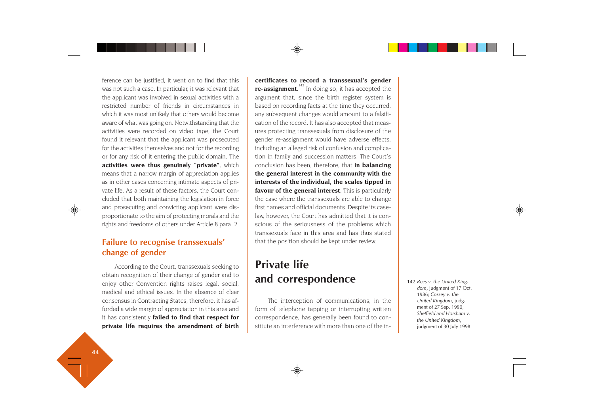ference can be justified, it went on to find that this was not such a case. In particular, it was relevant that the applicant was involved in sexual activities with a restricted number of friends in circumstances in which it was most unlikely that others would become aware of what was going on. Notwithstanding that the activities were recorded on video tape, the Court found it relevant that the applicant was prosecuted for the activities themselves and not for the recording or for any risk of it entering the public domain. The **activities were thus genuinely "private"**, which means that a narrow margin of appreciation applies as in other cases concerning intimate aspects of private life. As a result of these factors, the Court concluded that both maintaining the legislation in force and prosecuting and convicting applicant were disproportionate to the aim of protecting morals and the rights and freedoms of others under Article 8 para. 2.

# **Failure to recognise transsexuals' change of gender**

According to the Court, transsexuals seeking to obtain recognition of their change of gender and to enjoy other Convention rights raises legal, social, medical and ethical issues. In the absence of clear consensus in Contracting States, therefore, it has afforded a wide margin of appreciation in this area and it has consistently **failed to find that respect for private life requires the amendment of birth** **certificates to record a transsexual's gender re-assignment.**<sup>142</sup> In doing so, it has accepted the argument that, since the birth register system is based on recording facts at the time they occurred, any subsequent changes would amount to a falsification of the record. It has also accepted that measures protecting transsexuals from disclosure of the gender re-assignment would have adverse effects, including an alleged risk of confusion and complication in family and succession matters. The Court's conclusion has been, therefore, that **in balancing the general interest in the community with the interests of the individual, the scales tipped in favour of the general interest**. This is particularly the case where the transsexuals are able to change first names and official documents. Despite its caselaw, however, the Court has admitted that it is conscious of the seriousness of the problems which transsexuals face in this area and has thus stated that the position should be kept under review.

# **Private life and correspondence**

The interception of communications, in the form of telephone tapping or interrupting written correspondence, has generally been found to constitute an interference with more than one of the in142 *Rees v. the United King dom*, judgment of 17 Oct. 1986; *Cossey v. the United Kingdom*, judg ment of 27 Sep. 1990; *Sheffield and Horsham v. the United Kingdom*, judgment of 30 July 1998.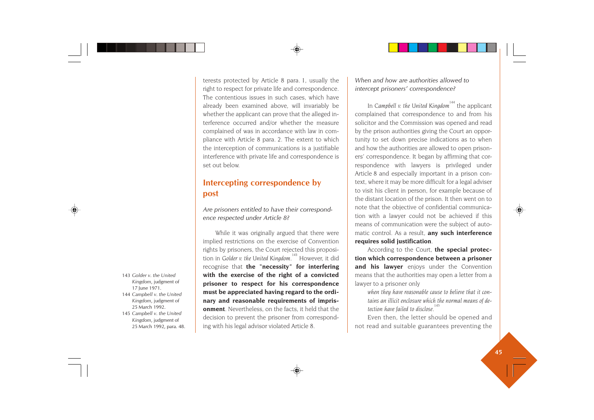terests protected by Article 8 para. 1, usually the right to respect for private life and correspondence. The contentious issues in such cases, which have already been examined above, will invariably be whether the applicant can prove that the alleged interference occurred and/or whether the measure complained of was in accordance with law in compliance with Article 8 para. 2. The extent to which the interception of communications is a justifiable interference with private life and correspondence is set out below.

# **Intercepting correspondence by post**

*Are prisoners entitled to have their correspondence respected under Article 8?*

While it was originally argued that there were implied restrictions on the exercise of Convention rights by prisoners, the Court rejected this proposition in *Golder v. the United Kingdom*.<sup>143</sup> However, it did recognise that **the "necessity" for interfering with the exercise of the right of a convicted prisoner to respect for his correspondence must be appreciated having regard to the ordinary and reasonable requirements of imprisonment**. Nevertheless, on the facts, it held that the decision to prevent the prisoner from corresponding with his legal advisor violated Article 8.

*When and how are authorities allowed to intercept prisoners' correspondence?*

In *Campbell v. the United Kingdom<sup>144</sup>* the applicant complained that correspondence to and from his solicitor and the Commission was opened and read by the prison authorities giving the Court an opportunity to set down precise indications as to when and how the authorities are allowed to open prisoners' correspondence. It began by affirming that correspondence with lawyers is privileged under Article 8 and especially important in a prison context, where it may be more difficult for a legal adviser to visit his client in person, for example because of the distant location of the prison. It then went on to note that the objective of confidential communication with a lawyer could not be achieved if this means of communication were the subject of automatic control. As a result, **any such interference requires solid justification**.

According to the Court, **the special protection which correspondence between a prisoner and his lawyer** enjoys under the Convention means that the authorities may open a letter from a lawyer to a prisoner only

*when they have reasonable cause to believe that it contains an illicit enclosure which the normal means of detection have failed to disclose.*<sup>14</sup>

Even then, the letter should be opened and not read and suitable guarantees preventing the

- 143 *Golder v. the United Kingdom*, judgment of 17 June 1971.
- 144 *Campbell v. the United Kingdom*, judgment of 25 March 1992.
- 145 *Campbell v. the United Kingdom*, judgment of 25 March 1992, para. 48.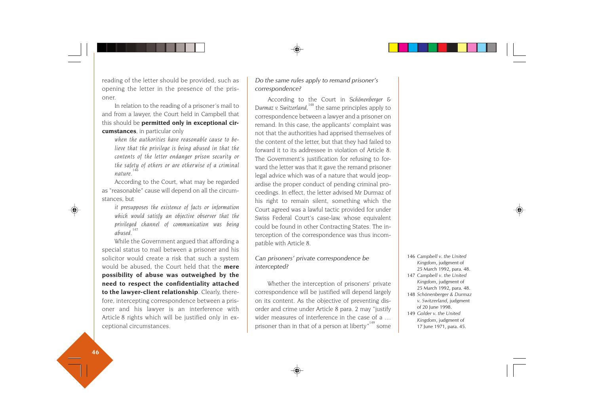reading of the letter should be provided, such as opening the letter in the presence of the prisoner.

In relation to the reading of a prisoner's mail to and from a lawyer, the Court held in Campbell that this should be **permitted only in exceptional circumstances**, in particular only

*when the authorities have reasonable cause to believe that the privilege is being abused in that the contents of the letter endanger prison security or the safety of others or are otherwise of a criminal nature. 146*

According to the Court, what may be regarded as "reasonable" cause will depend on all the circumstances, but

*it presupposes the existence of facts or information which would satisfy an objective observer that the privileged channel of communication was being abused.<sup>147</sup>*

While the Government argued that affording a special status to mail between a prisoner and his solicitor would create a risk that such a system would be abused, the Court held that the **mere possibility of abuse was outweighed by the need to respect the confidentiality attached to the lawyer-client relationship**. Clearly, therefore, intercepting correspondence between a prisoner and his lawyer is an interference with Article 8 rights which will be justified only in exceptional circumstances.

*Do the same rules apply to remand prisoner's correspondence?*

According to the Court in *Schönenberger & Durmaz v. Switzerland*,<sup>148</sup> the same principles apply to correspondence between a lawyer and a prisoner on remand. In this case, the applicants' complaint was not that the authorities had apprised themselves of the content of the letter, but that they had failed to forward it to its addressee in violation of Article 8. The Government's justification for refusing to forward the letter was that it gave the remand prisoner legal advice which was of a nature that would jeopardise the proper conduct of pending criminal proceedings. In effect, the letter advised Mr Durmaz of his right to remain silent, something which the Court agreed was a lawful tactic provided for under Swiss Federal Court's case-law, whose equivalent could be found in other Contracting States. The interception of the correspondence was thus incompatible with Article 8.

*Can prisoners' private correspondence be intercepted?*

Whether the interception of prisoners' private correspondence will be justified will depend largely on its content. As the objective of preventing disorder and crime under Article 8 para. 2 may "justify wider measures of interference in the case of a … prisoner than in that of a person at liberty<sup> $n^{149}$ </sup> some

146 *Campbell v. the United Kingdom*, judgment of 25 March 1992, para. 48. 147 *Campbell v. the United Kingdom*, judgment of

- 25 March 1992, para. 48.
- 148 *Schönenberger & Durmaz v. Switzerland*, judgment of 20 June 1998.
- 149 *Golder v. the United Kingdom*, judgment of 17 June 1971, para. 45.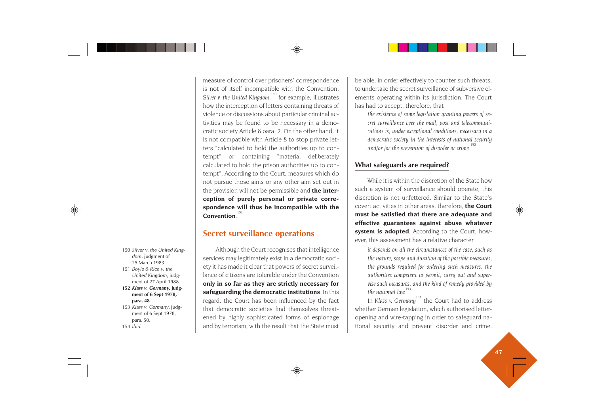150 *Silver v. the United Kingdom*, judgment of 25 March 1983.

- 151 *Boyle & Rice v. the United Kingdom*, judgment of 27 April 1988.
- **152** *Klass v. Germany,* **judgment of 6 Sept 1978, para. 48**
- 153 *Klass v. Germany*, judgment of 6 Sept 1978, para. 50. 154 *Ibid*.

is not of itself incompatible with the Convention. Silver v. the United Kingdom,<sup>150</sup> for example, illustrates how the interception of letters containing threats of violence or discussions about particular criminal activities may be found to be necessary in a democratic society Article 8 para. 2. On the other hand, it is not compatible with Article 8 to stop private letters "calculated to hold the authorities up to contempt" or containing "material deliberately calculated to hold the prison authorities up to contempt". According to the Court, measures which do not pursue those aims or any other aim set out in

measure of control over prisoners' correspondence

the provision will not be permissible and **the interception of purely personal or private correspondence will thus be incompatible with the Convention** 

# **Secret surveillance operations**

Although the Court recognises that intelligence services may legitimately exist in a democratic society it has made it clear that powers of secret surveillance of citizens are tolerable under the Convention **only in so far as they are strictly necessary for safeguarding the democratic institutions**. In this regard, the Court has been influenced by the fact that democratic societies find themselves threatened by highly sophisticated forms of espionage and by terrorism, with the result that the State must

be able, in order effectively to counter such threats, to undertake the secret surveillance of subversive elements operating within its jurisdiction. The Court has had to accept, therefore, that

*the existence of some legislation granting powers of secret surveillance over the mail, post and telecommunications is, under exceptional conditions, necessary in a democratic society in the interests of national security and/or for the prevention of disorder or crime.<sup>152</sup>*

# **What safeguards are required?**

While it is within the discretion of the State how such a system of surveillance should operate, this discretion is not unfettered. Similar to the State's covert activities in other areas, therefore, **the Court must be satisfied that there are adequate and effective guarantees against abuse whatever system is adopted**. According to the Court, however, this assessment has a relative character

*it depends on all the circumstances of the case, such as the nature, scope and duration of the possible measures, the grounds required for ordering such measures, the authorities competent to permit, carry out and supervise such measures, and the kind of remedy provided by the national law.* 

In *Klass v. Germany*<sup>154</sup> the Court had to address whether German legislation, which authorised letteropening and wire-tapping in order to safeguard national security and prevent disorder and crime,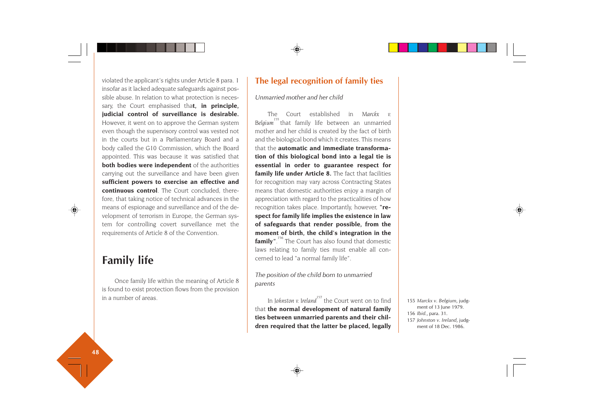violated the applicant's rights under Article 8 para. 1 insofar as it lacked adequate safeguards against possible abuse. In relation to what protection is necessary, the Court emphasised tha**t, in principle, judicial control of surveillance is desirable.** However, it went on to approve the German system even though the supervisory control was vested not in the courts but in a Parliamentary Board and a body called the G10 Commission, which the Board appointed. This was because it was satisfied that **both bodies were independent** of the authorities carrying out the surveillance and have been given **sufficient powers to exercise an effective and continuous control**. The Court concluded, therefore, that taking notice of technical advances in the means of espionage and surveillance and of the development of terrorism in Europe, the German system for controlling covert surveillance met the requirements of Article 8 of the Convention.

# **Family life**

Once family life within the meaning of Article 8 is found to exist protection flows from the provision in a number of areas.

# **The legal recognition of family ties**

*Unmarried mother and her child*

The Court established in *Marckx v.* Belaium<sup>155</sup> that family life between an unmarried mother and her child is created by the fact of birth and the biological bond which it creates. This means that the **automatic and immediate transformation of this biological bond into a legal tie is essential in order to guarantee respect for family life under Article 8.** The fact that facilities for recognition may vary across Contracting States means that domestic authorities enjoy a margin of appreciation with regard to the practicalities of how recognition takes place. Importantly, however, **"respect for family life implies the existence in law of safeguards that render possible, from the moment of birth, the child's integration in the family**". The Court has also found that domestic laws relating to family ties must enable all concerned to lead "a normal family life".

*The position of the child born to unmarried parents*

In *Johnston v. Ireland<sup>157</sup>* the Court went on to find that **the normal development of natural family ties between unmarried parents and their children required that the latter be placed, legally**

155 *Marckx v. Belgium*, judgment of 13 June 1979. 156 *Ibid.*, para. 31. 157 *Johnston v. Ireland*, judgment of 18 Dec. 1986.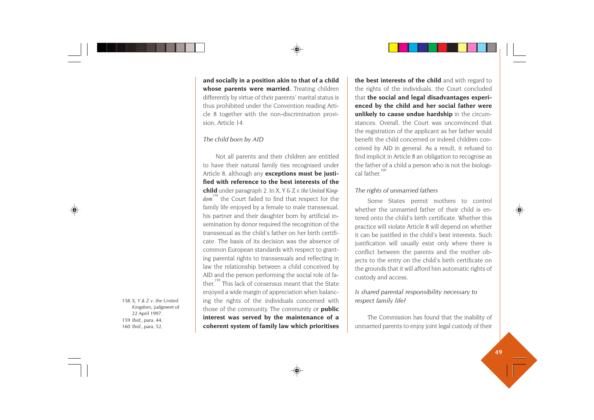**and socially in a position akin to that of a child whose parents were married.** Treating children differently by virtue of their parents' marital status is thus prohibited under the Convention reading Article 8 together with the non-discrimination provision, Article 14.

#### *The child born by AID*

Not all parents and their children are entitled to have their natural family ties recognised under Article 8, although any **exceptions must be justified with reference to the best interests of the child** under paragraph 2. In *X, Y & Z v. the United King*dom<sup>158</sup> the Court failed to find that respect for the family life enjoyed by a female to male transsexual, his partner and their daughter born by artificial insemination by donor required the recognition of the transsexual as the child's father on her birth certificate. The basis of its decision was the absence of common European standards with respect to granting parental rights to transsexuals and reflecting in law the relationship between a child conceived by AID and the person performing the social role of father.<sup>159</sup> This lack of consensus meant that the State enjoyed a wide margin of appreciation when balancing the rights of the individuals concerned with those of the community. The community or **public interest was served by the maintenance of a coherent system of family law which prioritises** **the best interests of the child** and with regard to the rights of the individuals, the Court concluded that **the social and legal disadvantages experienced by the child and her social father were unlikely to cause undue hardship** in the circumstances. Overall, the Court was unconvinced that the registration of the applicant as her father would benefit the child concerned or indeed children conceived by AID in general. As a result, it refused to find implicit in Article 8 an obligation to recognise as the father of a child a person who is not the biological father.<sup>160</sup>

#### *The rights of unmarried fathers*

Some States permit mothers to control whether the unmarried father of their child is entered onto the child's birth certificate. Whether this practice will violate Article 8 will depend on whether it can be justified in the child's best interests. Such justification will usually exist only where there is conflict between the parents and the mother objects to the entry on the child's birth certificate on the grounds that it will afford him automatic rights of custody and access.

### *Is shared parental responsibility necessary to respect family life?*

The Commission has found that the inability of unmarried parents to enjoy joint legal custody of their

 *X, Y & Z v. the United Kingdom*, judgment of April 1997. *Ibid.*, para. 44. *Ibid.*, para. 52.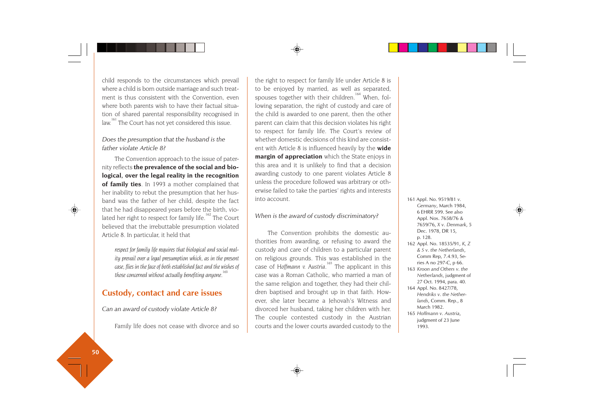child responds to the circumstances which prevail where a child is born outside marriage and such treatment is thus consistent with the Convention, even where both parents wish to have their factual situation of shared parental responsibility recognised in law.<sup>161</sup> The Court has not yet considered this issue.

### *Does the presumption that the husband is the father violate Article 8?*

The Convention approach to the issue of paternity reflects **the prevalence of the social and biological, over the legal reality in the recognition of family ties**. In 1993 a mother complained that her inability to rebut the presumption that her husband was the father of her child, despite the fact that he had disappeared years before the birth, violated her right to respect for family life.<sup>162</sup> The Court believed that the irrebuttable presumption violated Article 8. In particular, it held that

*respect for family life requires that biological and social reality prevail over a legal presumption which, as in the present case, flies in the face of both established fact and the wishes of those concerned without actually benefiting anyone.<sup>163</sup>*

# **Custody, contact and care issues**

*Can an award of custody violate Article 8?*

Family life does not cease with divorce and so

the right to respect for family life under Article 8 is to be enjoyed by married, as well as separated, spouses together with their children.<sup>164</sup> When, following separation, the right of custody and care of the child is awarded to one parent, then the other parent can claim that this decision violates his right to respect for family life. The Court's review of whether domestic decisions of this kind are consistent with Article 8 is influenced heavily by the **wide margin of appreciation** which the State enjoys in this area and it is unlikely to find that a decision awarding custody to one parent violates Article 8 unless the procedure followed was arbitrary or otherwise failed to take the parties' rights and interests into account.

#### *When is the award of custody discriminatory?*

The Convention prohibits the domestic authorities from awarding, or refusing to award the custody and care of children to a particular parent on religious grounds. This was established in the case of *Hoffmann v. Austria*.<sup>165</sup> The applicant in this case was a Roman Catholic, who married a man of the same religion and together, they had their children baptised and brought up in that faith. However, she later became a Jehovah's Witness and divorced her husband, taking her children with her. The couple contested custody in the Austrian courts and the lower courts awarded custody to the 161 Appl. No. 9519/81 *v. Germany*, March 1984, 6 EHRR 599. See also Appl. Nos. 7658/76 & 7659/76, *X v. Denmark*, 5 Dec. 1978, DR 15, p. 128.

- 162 Appl. No. 18535/91, *K, Z & S v. the Netherlands*, Comm Rep, 7.4.93, Series A no 297-C, p 66.
- 163 *Kroon and Others v. the Netherlands*, judgment of 27 Oct. 1994, para. 40.
- 164 Appl. No. 8427/78, *Hendriks v. the Netherlands*, Comm. Rep., 8 March 1982.
- 165 *Hoffmann v. Austria*, judgment of 23 June 1993.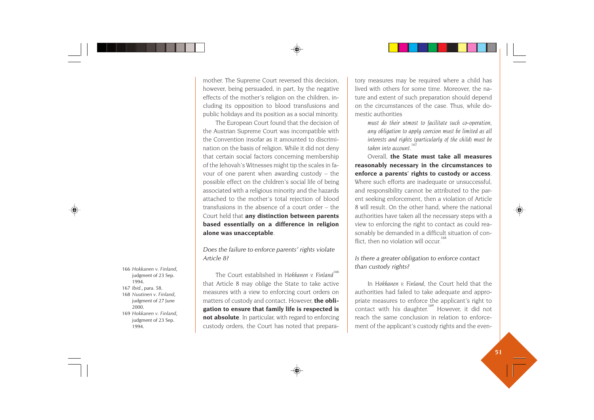mother. The Supreme Court reversed this decision, however, being persuaded, in part, by the negative effects of the mother's religion on the children, including its opposition to blood transfusions and public holidays and its position as a social minority.

The European Court found that the decision of the Austrian Supreme Court was incompatible with the Convention insofar as it amounted to discrimination on the basis of religion. While it did not deny that certain social factors concerning membership of the Jehovah's Witnesses might tip the scales in favour of one parent when awarding custody – the possible effect on the children's social life of being associated with a religious minority and the hazards attached to the mother's total rejection of blood transfusions in the absence of a court order – the Court held that **any distinction between parents based essentially on a difference in religion alone was unacceptable**.

*Does the failure to enforce parents' rights violate Article 8?*

The Court established in *Hokkanen* v. Finland<sup>166</sup> that Article 8 may oblige the State to take active measures with a view to enforcing court orders on matters of custody and contact. However, **the obligation to ensure that family life is respected is not absolute**. In particular, with regard to enforcing custody orders, the Court has noted that prepara-For the Court established in Hokkanen v. Finland<sup>166</sup><br>
1994.<br>
1994.<br>
1994. **Example 1994.**<br>
167 *Ibid., para.* 58.<br>
168 *Nuutinen v. Finland,*<br>
168 *Nuutinen v. Finland,*<br>
169 *Hokkanen v. Finland,*<br>
169 *Hokkanen v. Finla* 

tory measures may be required where a child has lived with others for some time. Moreover, the na ture and extent of such preparation should depend on the circumstances of the case. Thus, while do mestic authorities

*must do their utmost to facilitate such co-operation, any obligation to apply coercion must be limited as all interests and rights (particularly of the child) must be taken into account.<sup>167</sup>*

Overall, **the State must take all measures reasonably necessary in the circumstances to enforce a parents' rights to custody or access**. Where such efforts are inadequate or unsuccessful, and responsibility cannot be attributed to the par ent seeking enforcement, then a violation of Article 8 will result. On the other hand, where the national authorities have taken all the necessary steps with a view to enforcing the right to contact as could rea sonably be demanded in a difficult situation of con flict, then no violation will occur<sup>1</sup>

#### *Is there a greater obligation to enforce contact than custody rights?*

In *Hokkanen v. Finland*, the Court held that the authorities had failed to take adequate and appro priate measures to enforce the applicant's right to contact with his daughter.<sup>169</sup> However, it did not reach the same conclusion in relation to enforce-

- 
- 
- 
-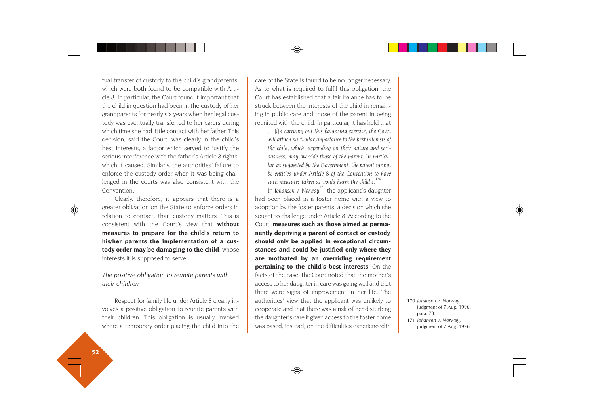tual transfer of custody to the child's grandparents, which were both found to be compatible with Article 8. In particular, the Court found it important that the child in question had been in the custody of her grandparents for nearly six years when her legal custody was eventually transferred to her carers during which time she had little contact with her father. This decision, said the Court, was clearly in the child's best interests, a factor which served to justify the serious interference with the father's Article 8 rights, which it caused. Similarly, the authorities' failure to enforce the custody order when it was being challenged in the courts was also consistent with the Convention.

Clearly, therefore, it appears that there is a greater obligation on the State to enforce orders in relation to contact, than custody matters. This is consistent with the Court's view that **without measures to prepare for the child's return to his/her parents the implementation of a custody order may be damaging to the child**, whose interests it is supposed to serve.

*The positive obligation to reunite parents with their children*

Respect for family life under Article 8 clearly involves a positive obligation to reunite parents with their children. This obligation is usually invoked where a temporary order placing the child into the care of the State is found to be no longer necessary. As to what is required to fulfil this obligation, the Court has established that a fair balance has to be struck between the interests of the child in remaining in public care and those of the parent in being reunited with the child. In particular, it has held that

*... [i]n carrying out this balancing exercise, the Court will attach particular importance to the best interests of the child, which, depending on their nature and seriousness, may override those of the parent. In particular, as suggested by the Government, the parent cannot be entitled under Article 8 of the Convention to have such measures taken as would harm the child's.<sup>170</sup>*

In *Johansen v. Norway*<sup>171</sup> the applicant's daughter had been placed in a foster home with a view to adoption by the foster parents, a decision which she sought to challenge under Article 8. According to the Court, **measures such as those aimed at permanently depriving a parent of contact or custody, should only be applied in exceptional circumstances and could be justified only where they are motivated by an overriding requirement pertaining to the child's best interests**. On the facts of the case, the Court noted that the mother's access to her daughter in care was going well and that there were signs of improvement in her life. The authorities' view that the applicant was unlikely to cooperate and that there was a risk of her disturbing the daughter's care if given access to the foster home was based, instead, on the difficulties experienced in

<sup>170</sup> *Johansen v. Norway*, judgment of 7 Aug. 1996, para. 78.

<sup>171</sup> *Johansen v. Norway*, judgment of 7 Aug. 1996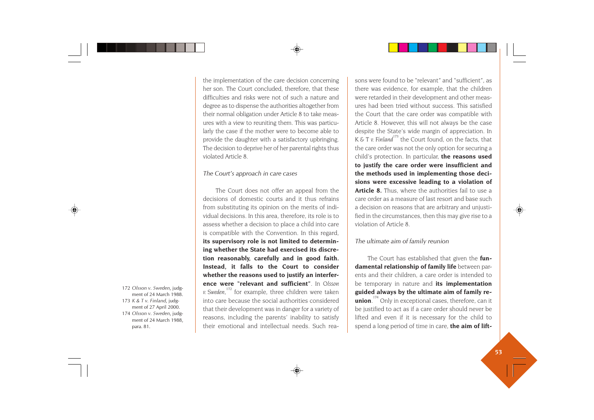the implementation of the care decision concerning her son. The Court concluded, therefore, that these difficulties and risks were not of such a nature and degree as to dispense the authorities altogether from their normal obligation under Article 8 to take measures with a view to reuniting them. This was particularly the case if the mother were to become able to provide the daughter with a satisfactory upbringing. The decision to deprive her of her parental rights thus violated Article 8.

#### *The Court's approach in care cases*

The Court does not offer an appeal from the decisions of domestic courts and it thus refrains from substituting its opinion on the merits of individual decisions. In this area, therefore, its role is to assess whether a decision to place a child into care is compatible with the Convention. In this regard, **its supervisory role is not limited to determining whether the State had exercised its discretion reasonably, carefully and in good faith. Instead, it falls to the Court to consider whether the reasons used to justify an interference were "relevant and sufficient"**. In *Olsson v.* Sweden,<sup>172</sup> for example, three children were taken into care because the social authorities considered that their development was in danger for a variety of reasons, including the parents' inability to satisfy their emotional and intellectual needs. Such reasons were found to be "relevant" and "sufficient", as there was evidence, for example, that the children were retarded in their development and other meas ures had been tried without success. This satisfied the Court that the care order was compatible with Article 8. However, this will not always be the case despite the State's wide margin of appreciation. In  $K \& T v$ . Finland<sup>173</sup> the Court found, on the facts, that the care order was not the only option for securing a child's protection. In particular, **the reasons used to justify the care order were insufficient and the methods used in implementing those deci sions were excessive leading to a violation of Article 8.** Thus, where the authorities fail to use a care order as a measure of last resort and base such a decision on reasons that are arbitrary and unjusti fied in the circumstances, then this may give rise to a violation of Article 8.

#### *The ultimate aim of family reunion*

The Court has established that given the **fun damental relationship of family life** between par ents and their children, a care order is intended to be temporary in nature and **its implementation guided always by the ultimate aim of family re union**.<sup>174</sup> Only in exceptional cases, therefore, can it be justified to act as if a care order should never be lifted and even if it is necessary for the child to <sup>172</sup> Olsson v. Sweden, judge<br>
ment of 24 March 1988.<br>
173 K & T v. Finland, judge<br>
173 K & T v. Finland, judge<br>
174 Osloson v. Sweden, judge<br>
174 Osloson v. Sweden, judge<br>
ment of 22 March 1988,<br>
ment of 24 March 1988,<br>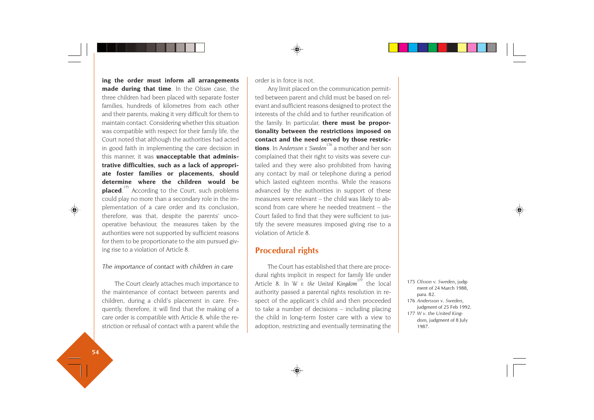**ing the order must inform all arrangements made during that time**. In the *Olsson* case, the three children had been placed with separate foster families, hundreds of kilometres from each other and their parents, making it very difficult for them to maintain contact. Considering whether this situation was compatible with respect for their family life, the Court noted that although the authorities had acted in good faith in implementing the care decision in this manner, it was **unacceptable that administrative difficulties, such as a lack of appropriate foster families or placements, should determine where the children would be placed.**<sup>175</sup> According to the Court, such problems could play no more than a secondary role in the implementation of a care order and its conclusion, therefore, was that, despite the parents' uncooperative behaviour, the measures taken by the authorities were not supported by sufficient reasons for them to be proportionate to the aim pursued giving rise to a violation of Article 8.

#### *The importance of contact with children in care*

The Court clearly attaches much importance to the maintenance of contact between parents and children, during a child's placement in care. Frequently, therefore, it will find that the making of a care order is compatible with Article 8, while the restriction or refusal of contact with a parent while the order is in force is not.

Any limit placed on the communication permitted between parent and child must be based on relevant and sufficient reasons designed to protect the interests of the child and to further reunification of the family. In particular, **there must be proportionality between the restrictions imposed on contact and the need served by those restrictions**. In *Andersson v. Sweden*<sup>176</sup> a mother and her son complained that their right to visits was severe curtailed and they were also prohibited from having any contact by mail or telephone during a period which lasted eighteen months. While the reasons advanced by the authorities in support of these measures were relevant – the child was likely to abscond from care where he needed treatment – the Court failed to find that they were sufficient to justify the severe measures imposed giving rise to a violation of Article 8.

# **Procedural rights**

The Court has established that there are procedural rights implicit in respect for family life under Article 8. In *W v. the United Kingdom*<sup>177</sup> the local authority passed a parental rights resolution in respect of the applicant's child and then proceeded to take a number of decisions – including placing the child in long-term foster care with a view to adoption, restricting and eventually terminating the

- 175 *Olsson v. Sweden*, judgment of 24 March 1988, para. 82.
- 176 *Andersson v. Sweden*, judgment of 25 Feb 1992. 177 *W v. the United Kingdom,* judgment of 8 July

1987.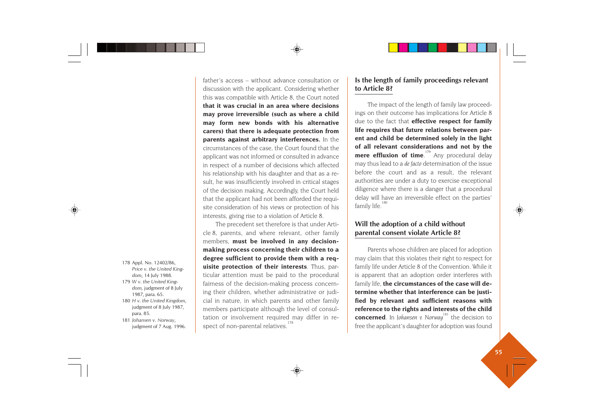- 178 Appl. No. 12402/86, *Price v. the United Kingdom*, 14 July 1988.
- 179 *W v. the United Kingdom,* judgment of 8 July 1987, para. 65.
- 180 *H v. the United Kingdom*, judgment of 8 July 1987, para. 85.
- 181 *Johansen v. Norway*, judgment of 7 Aug. 1996.

father's access – without advance consultation or discussion with the applicant. Considering whether this was compatible with Article 8, the Court noted **that it was crucial in an area where decisions may prove irreversible (such as where a child may form new bonds with his alternative carers) that there is adequate protection from parents against arbitrary interferences.** In the circumstances of the case, the Court found that the applicant was not informed or consulted in advance in respect of a number of decisions which affected his relationship with his daughter and that as a result, he was insufficiently involved in critical stages of the decision making. Accordingly, the Court held that the applicant had not been afforded the requisite consideration of his views or protection of his interests, giving rise to a violation of Article 8.

The precedent set therefore is that under Article 8, parents, and where relevant, other family members, **must be involved in any decisionmaking process concerning their children to a degree sufficient to provide them with a requisite protection of their interests**. Thus, particular attention must be paid to the procedural fairness of the decision-making process concerning their children, whether administrative or judicial in nature, in which parents and other family members participate although the level of consultation or involvement required may differ in respect of non-parental relatives.<sup>178</sup>

### **Is the length of family proceedings relevant to Article 8?**

The impact of the length of family law proceedings on their outcome has implications for Article 8 due to the fact that **effective respect for family life requires that future relations between parent and child be determined solely in the light of all relevant considerations and not by the mere effluxion of time.**<sup>179</sup> Any procedural delay may thus lead to a *de facto* determination of the issue before the court and as a result, the relevant authorities are under a duty to exercise exceptional diligence where there is a danger that a procedural delay will have an irreversible effect on the parties' family life.<sup>1</sup>

### **Will the adoption of a child without parental consent violate Article 8?**

Parents whose children are placed for adoption may claim that this violates their right to respect for family life under Article 8 of the Convention. While it is apparent that an adoption order interferes with family life, **the circumstances of the case will determine whether that interference can be justified by relevant and sufficient reasons with reference to the rights and interests of the child concerned**. In *Johansen v. Norway*<sup>181</sup> the decision to free the applicant's daughter for adoption was found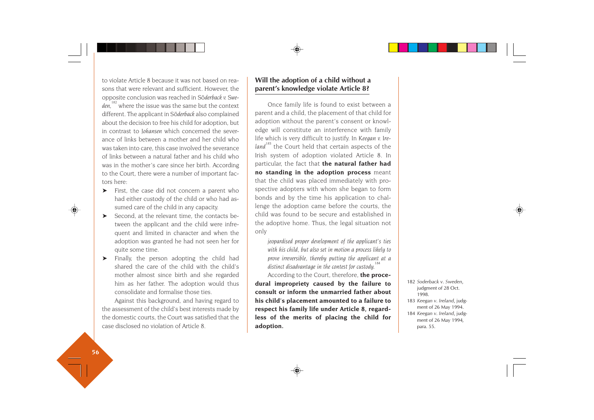to violate Article 8 because it was not based on reasons that were relevant and sufficient. However, the opposite conclusion was reached in *S*ö*derback v. Swe*den,<sup>182</sup> where the issue was the same but the context different. The applicant in *S*ö*derback* also complained about the decision to free his child for adoption, but in contrast to *Johansen* which concerned the severance of links between a mother and her child who was taken into care, this case involved the severance of links between a natural father and his child who was in the mother's care since her birth. According to the Court, there were a number of important factors here:

- ➤ First, the case did not concern a parent who had either custody of the child or who had assumed care of the child in any capacity.
- ➤ Second, at the relevant time, the contacts between the applicant and the child were infrequent and limited in character and when the adoption was granted he had not seen her for quite some time.
- ➤ Finally, the person adopting the child had shared the care of the child with the child's mother almost since birth and she regarded him as her father. The adoption would thus consolidate and formalise those ties.

Against this background, and having regard to the assessment of the child's best interests made by the domestic courts, the Court was satisfied that the case disclosed no violation of Article 8.

## **Will the adoption of a child without a parent's knowledge violate Article 8?**

Once family life is found to exist between a parent and a child, the placement of that child for adoption without the parent's consent or knowledge will constitute an interference with family life which is very difficult to justify. In *Keegan v. Ire*land<sup>183</sup> the Court held that certain aspects of the Irish system of adoption violated Article 8. In particular, the fact that **the natural father had no standing in the adoption process** meant that the child was placed immediately with prospective adopters with whom she began to form bonds and by the time his application to challenge the adoption came before the courts, the child was found to be secure and established in the adoptive home. Thus, the legal situation not only

*jeopardised proper development of the applicant's ties with his child, but also set in motion a process likely to prove irreversible, thereby putting the applicant at a distinct disadvantage in the contest for custody.<sup>184</sup>*

According to the Court, therefore, **the procedural impropriety caused by the failure to consult or inform the unmarried father about his child's placement amounted to a failure to respect his family life under Article 8, regardless of the merits of placing the child for adoption.**

- 182 *Soderback v. Sweden*, judgment of 28 Oct. 1998.
- 183 *Keegan v. Ireland*, judgment of 26 May 1994.
- 184 *Keegan v. Ireland*, judgment of 26 May 1994*,* para. 55.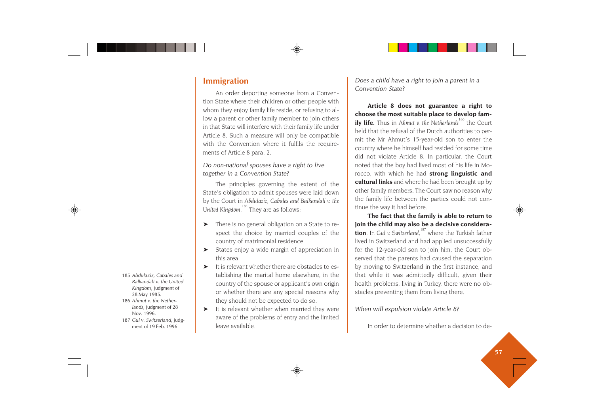# **Immigration**

An order deporting someone from a Convention State where their children or other people with whom they enjoy family life reside, or refusing to allow a parent or other family member to join others in that State will interfere with their family life under Article 8. Such a measure will only be compatible with the Convention where it fulfils the requirements of Article 8 para. 2.

### *Do non-national spouses have a right to live together in a Convention State?*

The principles governing the extent of the State's obligation to admit spouses were laid down by the Court in *Abdulaziz, Cabales and Balkandali v. the* United Kingdom.<sup>185</sup> They are as follows:

- ➤ There is no general obligation on a State to respect the choice by married couples of the country of matrimonial residence.
- ➤ States enjoy a wide margin of appreciation in this area.
- ➤ It is relevant whether there are obstacles to establishing the marital home elsewhere, in the country of the spouse or applicant's own origin or whether there are any special reasons why they should not be expected to do so.
- ➤ It is relevant whether when married they were aware of the problems of entry and the limited leave available.

*Does a child have a right to join a parent in a Convention State?*

**Article 8 does not guarantee a right to choose the most suitable place to develop family life.** Thus in *Ahmut v. the Netherlands<sup>186</sup>* the Court held that the refusal of the Dutch authorities to permit the Mr Ahmut's 15-year-old son to enter the country where he himself had resided for some time did not violate Article 8. In particular, the Court noted that the boy had lived most of his life in Morocco, with which he had **strong linguistic and cultural links** and where he had been brought up by other family members. The Court saw no reason why the family life between the parties could not continue the way it had before.

**The fact that the family is able to return to join the child may also be a decisive consideration**. In *Gul v. Switzerland,*187 where the Turkish father lived in Switzerland and had applied unsuccessfully for the 12-year-old son to join him, the Court observed that the parents had caused the separation by moving to Switzerland in the first instance, and that while it was admittedly difficult, given their health problems, living in Turkey, there were no obstacles preventing them from living there.

*When will expulsion violate Article 8?*

In order to determine whether a decision to de-

- 185 *Abdulaziz, Cabales and Balkandali v. the United Kingdom*, judgment of 28 May 1985.
- 186 *Ahmut v. the Nether lands*, judgment of 28 Nov. 1996.
- 187 *Gul v. Switzerland*, judg ment of 19 Feb. 1996.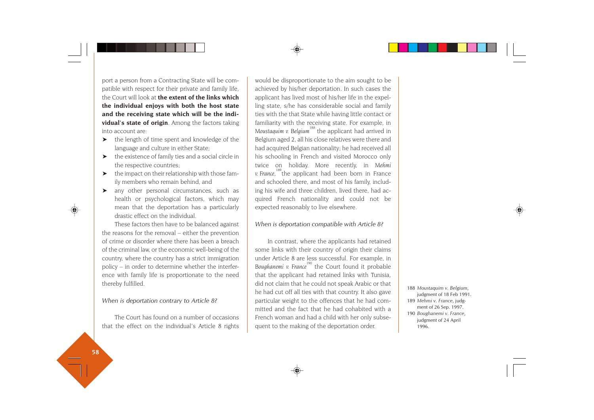port a person from a Contracting State will be compatible with respect for their private and family life, the Court will look at **the extent of the links which the individual enjoys with both the host state and the receiving state which will be the individual's state of origin**. Among the factors taking into account are:

- ➤ the length of time spent and knowledge of the language and culture in either State;
- $\blacktriangleright$  the existence of family ties and a social circle in the respective countries;
- ➤ the impact on their relationship with those family members who remain behind, and
- ➤ any other personal circumstances, such as health or psychological factors, which may mean that the deportation has a particularly drastic effect on the individual.

These factors then have to be balanced against the reasons for the removal – either the prevention of crime or disorder where there has been a breach of the criminal law, or the economic well-being of the country, where the country has a strict immigration policy – in order to determine whether the interference with family life is proportionate to the need thereby fulfilled.

#### *When is deportation contrary to Article 8?*

The Court has found on a number of occasions that the effect on the individual's Article 8 rights would be disproportionate to the aim sought to be achieved by his/her deportation. In such cases the applicant has lived most of his/her life in the expelling state, s/he has considerable social and family ties with the that State while having little contact or familiarity with the receiving state. For example, in *Moustaquim v. Belgium*<sup>188</sup> the applicant had arrived in Belgium aged 2, all his close relatives were there and had acquired Belgian nationality; he had received all his schooling in French and visited Morocco only twice on holiday. More recently, in *Mehmi* v. France, <sup>189</sup>the applicant had been born in France and schooled there, and most of his family, including his wife and three children, lived there, had acquired French nationality and could not be expected reasonably to live elsewhere.

#### *When is deportation compatible with Article 8?*

In contrast, where the applicants had retained some links with their country of origin their claims under Article 8 are less successful. For example, in Boughanemi v. France<sup>190</sup> the Court found it probable that the applicant had retained links with Tunisia, did not claim that he could not speak Arabic or that he had cut off all ties with that country. It also gave particular weight to the offences that he had committed and the fact that he had cohabited with a French woman and had a child with her only subsequent to the making of the deportation order.

188 *Moustaquim v. Belgium*, judgment of 18 Feb 1991. 189 *Mehmi v. France*, judgment of 26 Sep. 1997. 190 *Boughanemi v. France*, judgment of 24 April 1996.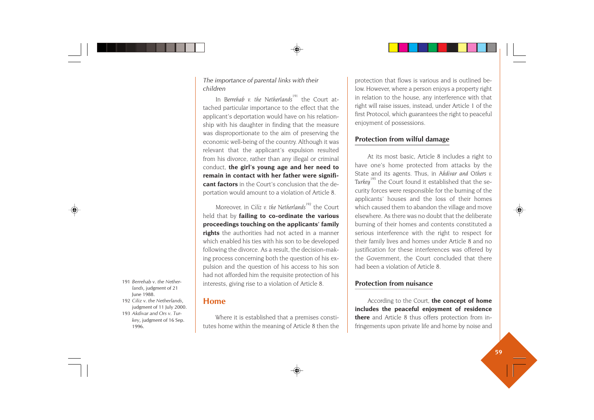### *The importance of parental links with their children*

In *Berrehab v. the Netherlands*<sup>191</sup> the Court attached particular importance to the effect that the applicant's deportation would have on his relationship with his daughter in finding that the measure was disproportionate to the aim of preserving the economic well-being of the country. Although it was relevant that the applicant's expulsion resulted from his divorce, rather than any illegal or criminal conduct, **the girl's young age and her need to remain in contact with her father were significant factors** in the Court's conclusion that the deportation would amount to a violation of Article 8.

Moreover, in *Ciliz v. the Netherlands<sup>192</sup>* the Court held that by **failing to co-ordinate the various proceedings touching on the applicants' family rights** the authorities had not acted in a manner which enabled his ties with his son to be developed following the divorce. As a result, the decision-making process concerning both the question of his expulsion and the question of his access to his son had not afforded him the requisite protection of his interests, giving rise to a violation of Article 8.

- 191 *Berrehab v. the Netherlands*, judgment of 21 June 1988.
- 192 *Ciliz v. the Netherlands*, judgment of 11 July 2000.
- 193 *Akdivar and Ors v. Turkey*, judgment of 16 Sep. 1996.

# **Home**

Where it is established that a premises constitutes home within the meaning of Article 8 then the protection that flows is various and is outlined below. However, where a person enjoys a property right in relation to the house, any interference with that right will raise issues, instead, under Article 1 of the first Protocol, which guarantees the right to peaceful enjoyment of possessions.

# **Protection from wilful damage**

At its most basic, Article 8 includes a right to have one's home protected from attacks by the State and its agents. Thus, in *Akdivar and Others v. Turkey*<sup>193</sup> the Court found it established that the security forces were responsible for the burning of the applicants' houses and the loss of their homes which caused them to abandon the village and move elsewhere. As there was no doubt that the deliberate burning of their homes and contents constituted a serious interference with the right to respect for their family lives and homes under Article 8 and no justification for these interferences was offered by the Government, the Court concluded that there had been a violation of Article 8.

## **Protection from nuisance**

According to the Court, **the concept of home includes the peaceful enjoyment of residence there** and Article 8 thus offers protection from infringements upon private life and home by noise and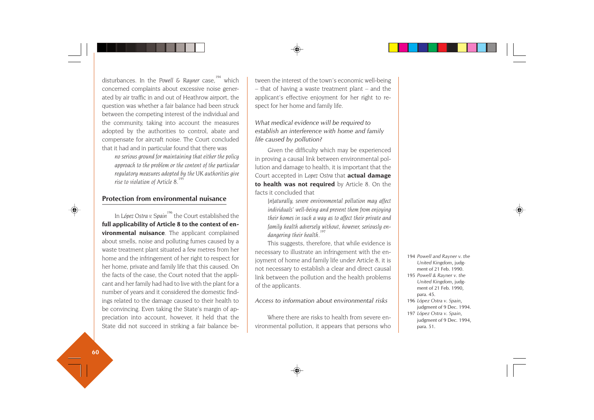disturbances. In the Powell & Rauner case.<sup>194</sup> which concerned complaints about excessive noise generated by air traffic in and out of Heathrow airport, the question was whether a fair balance had been struck between the competing interest of the individual and the community, taking into account the measures adopted by the authorities to control, abate and compensate for aircraft noise. The Court concluded that it had and in particular found that there was

*no serious ground for maintaining that either the policy approach to the problem or the content of the particular regulatory measures adopted by the UK authorities give rise to violation of Article 8.<sup>1</sup>* 

### **Protection from environmental nuisance**

In *López Ostra v. Spain*<sup>196</sup> the Court established the **full applicability of Article 8 to the context of environmental nuisance**. The applicant complained about smells, noise and polluting fumes caused by a waste treatment plant situated a few metres from her home and the infringement of her right to respect for her home, private and family life that this caused. On the facts of the case, the Court noted that the applicant and her family had had to live with the plant for a number of years and it considered the domestic findings related to the damage caused to their health to be convincing. Even taking the State's margin of appreciation into account, however, it held that the State did not succeed in striking a fair balance between the interest of the town's economic well-being – that of having a waste treatment plant – and the applicant's effective enjoyment for her right to re spect for her home and family life.

*What medical evidence will be required to establish an interference with home and family life caused by pollution?*

Given the difficulty which may be experienced in proving a causal link between environmental pol lution and damage to health, it is important that the Court accepted in *Lopez Ostra* that **actual damage to health was not required** by Article 8. On the facts it concluded that

*[n]aturally, severe environmental pollution may affect individuals' well-being and prevent them from enjoying their homes in such a way as to affect their private and family health adversely without, however, seriously en dangering their health.*<sup>1</sup>

This suggests, therefore, that while evidence is necessary to illustrate an infringement with the en joyment of home and family life under Article 8, it is not necessary to establish a clear and direct causal link between the pollution and the health problems of the applicants. Fraction of home and family life under Article 8, it is<br>
not necessary to establish a clear and direct causal<br>
link between the pollution and the health problems<br>
of the applicants.<br>
Access to information about environmen

#### *Access to information about environmental risks*

Where there are risks to health from severe en-

- 
- 
- 
-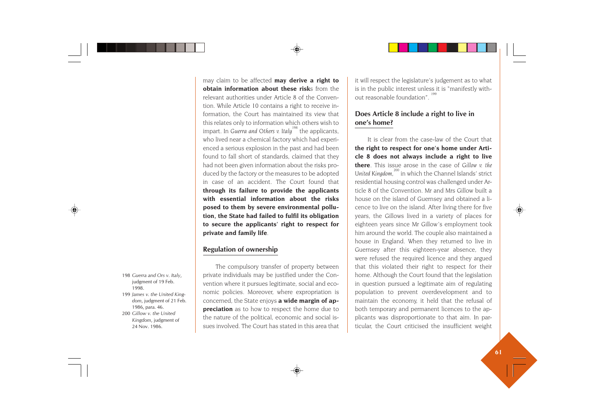may claim to be affected **may derive a right to obtain information about these risk**s from the relevant authorities under Article 8 of the Convention. While Article 10 contains a right to receive information, the Court has maintained its view that this relates only to information which others wish to impart. In *Guerra and Others v. Italu<sup>198</sup>* the applicants. who lived near a chemical factory which had experienced a serious explosion in the past and had been found to fall short of standards, claimed that they had not been given information about the risks produced by the factory or the measures to be adopted in case of an accident. The Court found that **through its failure to provide the applicants with essential information about the risks posed to them by severe environmental pollution, the State had failed to fulfil its obligation to secure the applicants' right to respect for private and family life**.

### **Regulation of ownership**

The compulsory transfer of property between private individuals may be justified under the Convention where it pursues legitimate, social and economic policies. Moreover, where expropriation is concerned, the State enjoys **a wide margin of appreciation** as to how to respect the home due to the nature of the political, economic and social issues involved. The Court has stated in this area that it will respect the legislature's judgement as to what is in the public interest unless it is "manifestly without reasonable foundation"<sup>199</sup>

### **Does Article 8 include a right to live in one's home?**

It is clear from the case-law of the Court that **the right to respect for one's home under Article 8 does not always include a right to live there**. This issue arose in the case of *Gillow v. the* United Kingdom,<sup>200</sup> in which the Channel Islands' strict residential housing control was challenged under Article 8 of the Convention. Mr and Mrs Gillow built a house on the island of Guernsey and obtained a licence to live on the island. After living there for five years, the Gillows lived in a variety of places for eighteen years since Mr Gillow's employment took him around the world. The couple also maintained a house in England. When they returned to live in Guernsey after this eighteen-year absence, they were refused the required licence and they argued that this violated their right to respect for their home. Although the Court found that the legislation in question pursued a legitimate aim of regulating population to prevent overdevelopment and to maintain the economy, it held that the refusal of both temporary and permanent licences to the applicants was disproportionate to that aim. In particular, the Court criticised the insufficient weight

- 198 *Guerra and Ors v. Italy*, judgment of 19 Feb. 1998.
- 199 *James v. the United Kingdom*, judgment of 21 Feb. 1986, para. 46.
- 200 *Gillow v. the United Kingdom*, judgment of 24 Nov. 1986.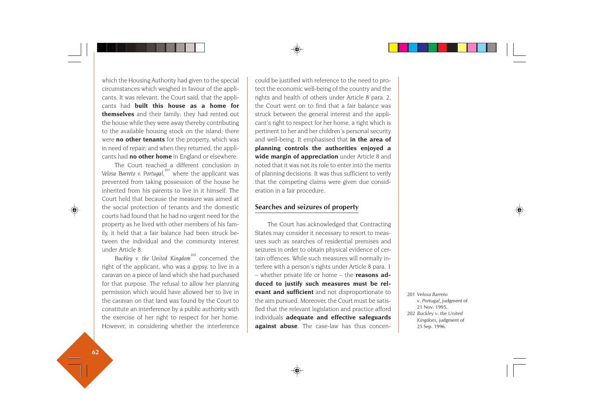which the Housing Authority had given to the special circumstances which weighed in favour of the applicants. It was relevant, the Court said, that the applicants had **built this house as a home for themselves** and their family; they had rented out the house while they were away thereby contributing to the available housing stock on the island; there were **no other tenants** for the property, which was in need of repair; and when they returned, the applicants had **no other home** in England or elsewhere.

The Court reached a different conclusion in *Velosa Barreto v. Portugal*,<sup>201</sup> where the applicant was prevented from taking possession of the house he inherited from his parents to live in it himself. The Court held that because the measure was aimed at the social protection of tenants and the domestic courts had found that he had no urgent need for the property as he lived with other members of his family, it held that a fair balance had been struck between the individual and the community interest under Article 8.

Buckley v. the United Kingdom<sup>202</sup> concerned the right of the applicant, who was a gypsy, to live in a caravan on a piece of land which she had purchased for that purpose. The refusal to allow her planning permission which would have allowed her to live in the caravan on that land was found by the Court to constitute an interference by a public authority with the exercise of her right to respect for her home. However, in considering whether the interference could be justified with reference to the need to protect the economic well-being of the country and the rights and health of others under Article 8 para. 2, the Court went on to find that a fair balance was struck between the general interest and the applicant's right to respect for her home, a right which is pertinent to her and her children's personal security and well-being. It emphasised that **in the area of planning controls the authorities enjoyed a wide margin of appreciation** under Article 8 and noted that it was not its role to enter into the merits of planning decisions. It was thus sufficient to verify that the competing claims were given due consideration in a fair procedure.

#### **Searches and seizures of property**

The Court has acknowledged that Contracting States may consider it necessary to resort to measures such as searches of residential premises and seizures in order to obtain physical evidence of certain offences. While such measures will normally interfere with a person's rights under Article 8 para. 1 – whether private life or home – the **reasons adduced to justify such measures must be relevant and sufficient** and not disproportionate to the aim pursued. Moreover, the Court must be satisfied that the relevant legislation and practice afford individuals **adequate and effective safeguards against abuse**. The case-law has thus concen-

201 *Velosa Barreto v. Portugal*, judgment of 21 Nov. 1995. 202 *Buckley v. the United Kingdom*, judgment of 25 Sep. 1996.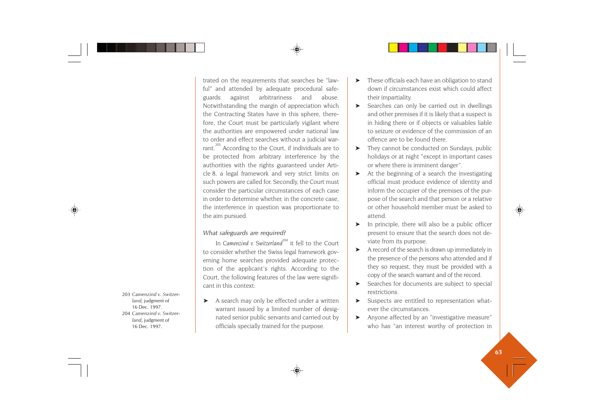*Camenzind v. Switzerland*, judgment of Dec. 1997. *Camenzind v. Switzerland*, judgment of Dec. 1997.

trated on the requirements that searches be "lawful" and attended by adequate procedural safeguards against arbitrariness and abuse. Notwithstanding the margin of appreciation which the Contracting States have in this sphere, therefore, the Court must be particularly vigilant where the authorities are empowered under national law to order and effect searches without a judicial warrant.<sup>203</sup> According to the Court, if individuals are to be protected from arbitrary interference by the authorities with the rights guaranteed under Article 8, a legal framework and very strict limits on such powers are called for. Secondly, the Court must consider the particular circumstances of each case in order to determine whether, in the concrete case the interference in question was proportionate to the aim pursued.

#### *What safeguards are required?*

In *Camenzind v. Switzerland*<sup>204</sup> it fell to the Court to consider whether the Swiss legal framework governing home searches provided adequate protection of the applicant's rights. According to the Court, the following features of the law were significant in this context:

➤ A search may only be effected under a written warrant issued by a limited number of designated senior public servants and carried out by officials specially trained for the purpose.

- ➤ These officials each have an obligation to stand down if circumstances exist which could affect their impartiality.
- ➤ Searches can only be carried out in dwellings and other premises if it is likely that a suspect is in hiding there or if objects or valuables liable to seizure or evidence of the commission of an offence are to be found there.
- ➤ They cannot be conducted on Sundays, public holidays or at night "except in important cases or where there is imminent danger".
- At the beginning of a search the investigating official must produce evidence of identity and inform the occupier of the premises of the purpose of the search and that person or a relative or other household member must be asked to attend.
- ➤ In principle, there will also be a public officer present to ensure that the search does not deviate from its purpose.
- ➤ A record of the search is drawn up immediately in the presence of the persons who attended and if they so request, they must be provided with a copy of the search warrant and of the record.
- ➤ Searches for documents are subject to special restrictions.
- ➤ Suspects are entitled to representation whatever the circumstances.
- ➤ Anyone affected by an "investigative measure" who has "an interest worthy of protection in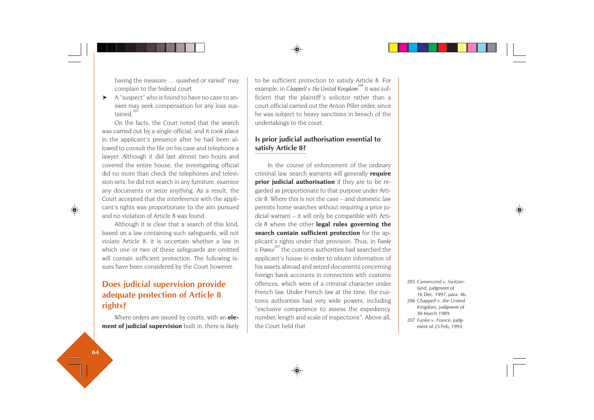having the measure … quashed or varied" may complain to the federal court

➤ A "suspect" who is found to have no case to answer may seek compensation for any loss sustained<sup>20</sup>

On the facts, the Court noted that the search was carried out by a single official; and it took place in the applicant's presence after he had been allowed to consult the file on his case and telephone a lawyer. Although it did last almost two hours and covered the entire house, the investigating official did no more than check the telephones and television sets; he did not search in any furniture, examine any documents or seize anything. As a result, the Court accepted that the interference with the applicant's rights was proportionate to the aim pursued and no violation of Article 8 was found.

Although it is clear that a search of this kind, based on a law containing such safeguards, will not violate Article 8, it is uncertain whether a law in which one or two of these safeguards are omitted will contain sufficient protection. The following issues have been considered by the Court however.

# **Does judicial supervision provide adequate protection of Article 8 rights?**

Where orders are issued by courts, with an **element of judicial supervision** built in, there is likely to be sufficient protection to satisfy Article 8. For example, in *Chappell v. the United Kingdom*<sup>206</sup> it was sufficient that the plaintiff's solicitor rather than a court official carried out the Anton Piller order, since he was subject to heavy sanctions in breach of the undertakings to the court.

## **Is prior judicial authorisation essential to satisfy Article 8?**

In the course of enforcement of the ordinary criminal law, search warrants will generally **require prior judicial authorisation** if they are to be regarded as proportionate to that purpose under Article 8. Where this is not the case – and domestic law permits home searches without requiring a prior judicial warrant – it will only be compatible with Article 8 where the other **legal rules governing the search contain sufficient protection** for the applicant's rights under that provision. Thus, in *Funke v. France* 207 the customs authorities had searched the applicant's house in order to obtain information of his assets abroad and seized documents concerning foreign bank accounts in connection with customs offences, which were of a criminal character under French law. Under French law at the time, the customs authorities had very wide powers, including "exclusive competence to assess the expediency, number, length and scale of inspections". Above all, the Court held that

 *Camenzind v. Switzerland*, judgment of Dec. 1997, para. 46. *Chappell v. the United Kingdom*, judgment of March 1989. *Funke v. France*, judgment of 25 Feb, 1993.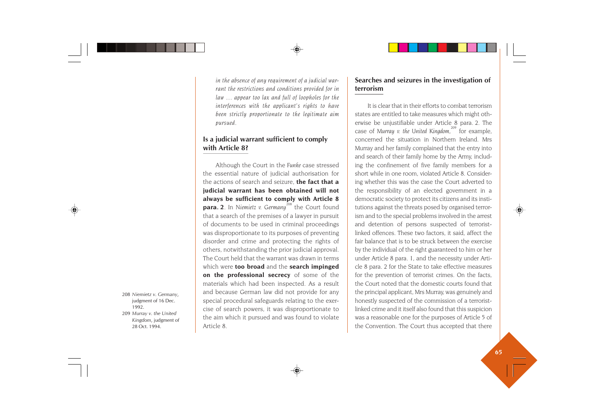*in the absence of any requirement of a judicial warrant the restrictions and conditions provided for in law … appear too lax and full of loopholes for the interferences with the applicant's rights to have been strictly proportionate to the legitimate aim pursued.*

### **Is a judicial warrant sufficient to comply with Article 8?**

Although the Court in the *Funke* case stressed the essential nature of judicial authorisation for the actions of search and seizure, **the fact that a judicial warrant has been obtained will not always be sufficient to comply with Article 8 para.** 2. In Niemietz v. Germany<sup>208</sup> the Court found that a search of the premises of a lawyer in pursuit of documents to be used in criminal proceedings was disproportionate to its purposes of preventing disorder and crime and protecting the rights of others, notwithstanding the prior judicial approval. The Court held that the warrant was drawn in terms which were **too broad** and the **search impinged on the professional secrecy** of some of the materials which had been inspected. As a result and because German law did not provide for any special procedural safeguards relating to the exercise of search powers, it was disproportionate to the aim which it pursued and was found to violate Article 8.

## **Searches and seizures in the investigation of terrorism**

It is clear that in their efforts to combat terrorism states are entitled to take measures which might otherwise be unjustifiable under Article 8 para. 2. The case of *Murray v. the United Kingdom,<sup>209</sup>* for example, concerned the situation in Northern Ireland. Mrs Murray and her family complained that the entry into and search of their family home by the Army, including the confinement of five family members for a short while in one room, violated Article 8. Considering whether this was the case the Court adverted to the responsibility of an elected government in a democratic society to protect its citizens and its institutions against the threats posed by organised terrorism and to the special problems involved in the arrest and detention of persons suspected of terroristlinked offences. These two factors, it said, affect the fair balance that is to be struck between the exercise by the individual of the right guaranteed to him or her under Article 8 para. 1, and the necessity under Article 8 para. 2 for the State to take effective measures for the prevention of terrorist crimes. On the facts, the Court noted that the domestic courts found that the principal applicant, Mrs Murray, was genuinely and honestly suspected of the commission of a terroristlinked crime and it itself also found that this suspicion was a reasonable one for the purposes of Article 5 of the Convention. The Court thus accepted that there

208 *Niemietz v. Germany*, judgment of 16 Dec. 1992. 209 *Murray v. the United Kingdom*, judgment of 28 Oct. 1994.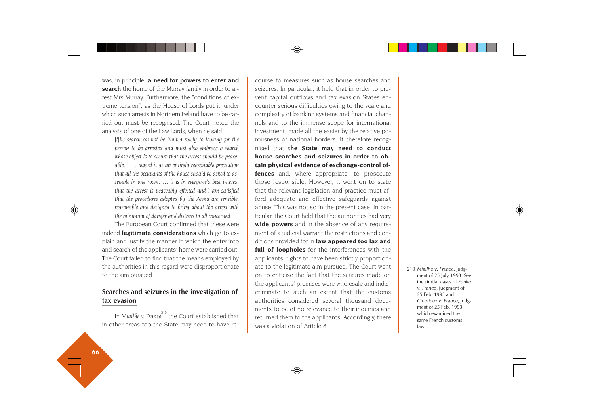was, in principle, **a need for powers to enter and search** the home of the Murray family in order to arrest Mrs Murray. Furthermore, the "conditions of extreme tension", as the House of Lords put it, under which such arrests in Northern Ireland have to be carried out must be recognised. The Court noted the analysis of one of the Law Lords, when he said

*[t]he search cannot be limited solely to looking for the person to be arrested and must also embrace a search whose object is to secure that the arrest should be peaceable. I … regard it as an entirely reasonable precaution that all the occupants of the house should be asked to assemble in one room. … It is in everyone's best interest that the arrest is peaceably effected and I am satisfied that the procedures adopted by the Army are sensible, reasonable and designed to bring about the arrest with the minimum of danger and distress to all concerned.*

The European Court confirmed that these were indeed **legitimate considerations** which go to explain and justify the manner in which the entry into and search of the applicants' home were carried out. The Court failed to find that the means employed by the authorities in this regard were disproportionate to the aim pursued.

### **Searches and seizures in the investigation of tax evasion**

In *Miailhe v. France*<sup>210</sup> the Court established that in other areas too the State may need to have recourse to measures such as house searches and seizures. In particular, it held that in order to pre vent capital outflows and tax evasion States en counter serious difficulties owing to the scale and complexity of banking systems and financial chan nels and to the immense scope for international investment, made all the easier by the relative po rousness of national borders. It therefore recog nised that **the State may need to conduct house searches and seizures in order to ob tain physical evidence of exchange-control of fences** and, where appropriate, to prosecute those responsible. However, it went on to state that the relevant legislation and practice must af ford adequate and effective safeguards against abuse. This was not so in the present case. In par ticular, the Court held that the authorities had very **wide powers** and in the absence of any require ment of a judicial warrant the restrictions and con ditions provided for in **law appeared too lax and full of loopholes** for the interferences with the applicants' rights to have been strictly proportion ate to the legitimate aim pursued. The Court went on to criticise the fact that the seizures made on the applicants' premises were wholesale and indis criminate to such an extent that the customs authorities considered several thousand docu ments to be of no relevance to their inquiries and returned them to the applicants. Accordingly, there and the regiunate and pursued. The Court went<br>
the applicants' premises were wholesale and indis-<br>
criminate to such an extent that the customs<br>
authorities considered several thousand docu-<br>
ment of 25 July 1993. See<br>
wer